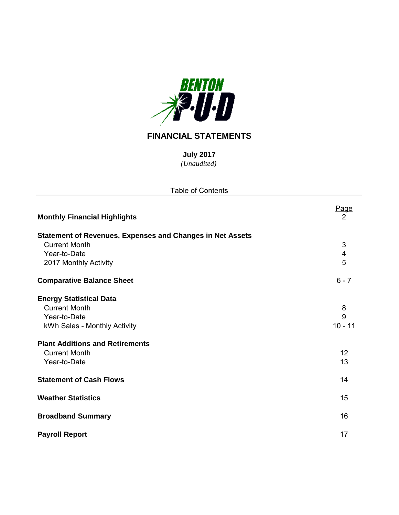

## **FINANCIAL STATEMENTS**

*(Unaudited)* **July 2017**

| <b>Table of Contents</b>                                                                                                                                                                 |                                 |
|------------------------------------------------------------------------------------------------------------------------------------------------------------------------------------------|---------------------------------|
| <b>Monthly Financial Highlights</b>                                                                                                                                                      | Page<br>$\overline{2}$          |
| <b>Statement of Revenues, Expenses and Changes in Net Assets</b><br><b>Current Month</b><br>Year-to-Date<br>2017 Monthly Activity                                                        | 3<br>4<br>5                     |
| <b>Comparative Balance Sheet</b>                                                                                                                                                         | $6 - 7$                         |
| <b>Energy Statistical Data</b><br><b>Current Month</b><br>Year-to-Date<br>kWh Sales - Monthly Activity<br><b>Plant Additions and Retirements</b><br><b>Current Month</b><br>Year-to-Date | 8<br>9<br>$10 - 11$<br>12<br>13 |
| <b>Statement of Cash Flows</b>                                                                                                                                                           | 14                              |
| <b>Weather Statistics</b>                                                                                                                                                                | 15                              |
| <b>Broadband Summary</b>                                                                                                                                                                 | 16                              |
| <b>Payroll Report</b>                                                                                                                                                                    | 17                              |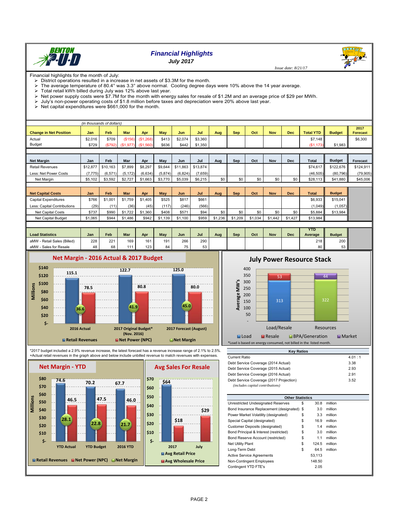

## *Financial Highlights*

*July 2017*

Financial highlights for the month of July:

 $\triangleright$  District operations resulted in a increase in net assets of \$3.3M for the month.

> The average temperature of 80.4° was 3.3° above normal. Cooling degree days were 10% above the 14 year average.<br>
→ Total retail kWh billed during July was 12% above last year.

- 
- $\geq$  Total retail kWh billed during July was 12% above last year.<br> $\geq$  Net power supply costs were \$7.7M for the month with ener Net power supply costs were \$7.7M for the month with energy sales for resale of \$1.2M and an average price of \$29 per MWh.
- July's non-power operating costs of \$1.8 million before taxes and depreciation were 20% above last year.
- Net capital expenditures were  $$661,000$  for the month.

|                               | (in thousands of dollars) |       |                     |           |            |         |         |     |            |     |            |            |                  |               |                         |
|-------------------------------|---------------------------|-------|---------------------|-----------|------------|---------|---------|-----|------------|-----|------------|------------|------------------|---------------|-------------------------|
| <b>Change in Net Position</b> | Jan                       | Feb   | Mar                 | Apr       | <b>May</b> | Jun     | Jul     | Aug | <b>Sep</b> | Oct | <b>Nov</b> | <b>Dec</b> | <b>Total YTD</b> | <b>Budget</b> | 2017<br><b>Forecast</b> |
| Actual                        | \$2.016                   | \$709 | (S156)              | (\$1,268) | \$413      | \$2.074 | \$3,360 |     |            |     |            |            | \$7,148          |               | \$6,300                 |
| Budget                        | \$729                     |       | $(S792)$ $(S1,977)$ | (\$1,560) | \$636      | \$442   | \$1,350 |     |            |     |            |            | (S1, 173)        | \$1.983       |                         |
|                               |                           |       |                     |           |            |         |         |     |            |     |            |            |                  |               |                         |
|                               |                           |       |                     |           |            |         |         |     |            |     |            |            |                  |               |                         |

| <b>Net Margin</b>      | Jan      | Feb      | Mar     | Apr     | May     | Jun                       | Jul     | Aug | Sep | Oct | Nov | Dec | <b>Total</b> | <b>Budget</b> | <b>Forecast</b> |
|------------------------|----------|----------|---------|---------|---------|---------------------------|---------|-----|-----|-----|-----|-----|--------------|---------------|-----------------|
| <b>Retail Revenues</b> | \$12,877 | \$10.163 | \$7,899 | \$8.297 |         | \$9.644 \$11.863 \$13.874 |         |     |     |     |     |     | \$74.617     | \$122,676     | \$124.911       |
| Less: Net Power Costs  | (7.775)  | (6.571)  | (5.172) | (6.634) | (5.874) | (6.824)                   | (7.659) |     |     |     |     |     | (46.505)     | (80.796)      | (79.905)        |
| Net Margin             | \$5.102  | \$3.592  | \$2.727 | \$1,663 | \$3,770 | \$5.039                   | \$6,215 | \$0 | \$0 | \$0 | \$0 | \$0 | \$28.113     | \$41.880      | \$45,006        |

| <b>Net Capital Costs</b>    | Jan     | Feb     | Mar     | Apr     | Mav         | Jun     | Jul   | Aug     | Sep     | Oct     | Nov     | <b>Dec</b> | <b>Total</b> | <b>Budget</b> |
|-----------------------------|---------|---------|---------|---------|-------------|---------|-------|---------|---------|---------|---------|------------|--------------|---------------|
| Capital Expenditures        | \$766   | \$1,001 | \$1,759 | \$1,405 | \$525       | \$817   | \$661 |         |         |         |         |            | $$6.933$ I   | \$15.041      |
| Less: Capital Contributions | (29)    | (11)    | (36)    | (45)    | (117)       | (246)   | (566) |         |         |         |         |            | (1,049)      | (1,057)       |
| Net Capital Costs           | \$737   | \$990   | \$1,722 | \$1,360 | \$408       | \$571   | \$94  | \$0     | \$0     | \$0     | \$0     | \$0        | \$5.884      | \$13.984      |
| Net Capital Budget          | \$1,065 | \$944   | \$1,486 | \$942   | .139<br>\$1 | \$1,100 | \$959 | \$1.236 | \$1.209 | \$1.034 | \$1.442 | \$1,427    | \$13.984     |               |

|                                |     |     |     |     |     |     |     |     |     |     |            |     | <b>YTD</b> |                |
|--------------------------------|-----|-----|-----|-----|-----|-----|-----|-----|-----|-----|------------|-----|------------|----------------|
| <b>Load Statistics</b>         | Jan | Feb | Mar | Apr | May | Jun | Jul | Aug | Sep | Oct | <b>Nov</b> | Dec | Average    | <b>Budget</b>  |
| - Retail Sales (Billed)<br>aMW | 228 | 221 | 169 | 161 | 191 | 266 | 290 |     |     |     |            |     | 218        | 200            |
| - Sales for Resale<br>aMW      | 48  | 68  |     | 123 | 84  | 75  | 53  |     |     |     |            |     | 80         | $\sim$<br>53 I |







\*2017 budget included a 2.9% revenue increase, the latest forecast has a revenue increase range of 2.1% to 2.5%. +Actual retail revenues in the graph above and below include unbilled revenue to match revenues with expenses.





| <b>Kev Ratios</b>                                                           |          |
|-----------------------------------------------------------------------------|----------|
| <b>Current Ratio</b>                                                        | 4.01 : 1 |
| Debt Service Coverage (2014 Actual)                                         | 3.38     |
| Debt Service Coverage (2015 Actual)                                         | 2.93     |
| Debt Service Coverage (2016 Actual)                                         | 2.91     |
| Debt Service Coverage (2017 Projection)<br>(includes capital contributions) | 3.52     |

| <b>Other Statistics</b>                    |    |        |         |
|--------------------------------------------|----|--------|---------|
| Unrestricted Undesignated Reserves         | \$ | 30.8   | million |
| Bond Insurance Replacement (designated) \$ |    | 3.0    | million |
| Power Market Volatility (designated)       | S  | 3.3    | million |
| Special Capital (designated)               | \$ | 16.9   | million |
| Customer Deposits (designated)             | \$ | 1.4    | million |
| Bond Principal & Interest (restricted)     | \$ | 3.0    | million |
| Bond Reserve Account (restricted)          | \$ | 1.1    | million |
| <b>Net Utility Plant</b>                   | \$ | 124.5  | million |
| Long-Term Debt                             | \$ | 64.5   | million |
| <b>Active Service Agreements</b>           |    | 53.113 |         |
| Non-Contingent Employees                   |    | 148.50 |         |
| Contingent YTD FTE's                       |    | 2.05   |         |
|                                            |    |        |         |

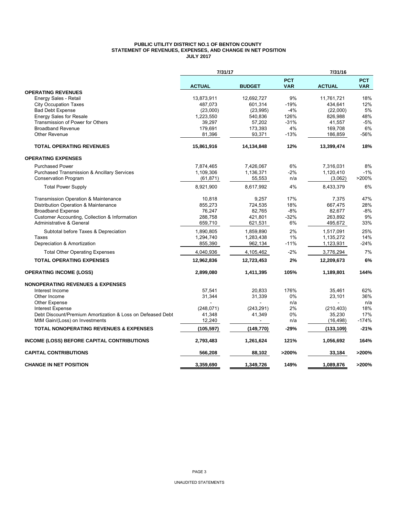#### **PUBLIC UTILITY DISTRICT NO.1 OF BENTON COUNTY STATEMENT OF REVENUES, EXPENSES, AND CHANGE IN NET POSITION JULY 2017**

|                                                            | 7/31/17       |               |                          | 7/31/16       |                          |
|------------------------------------------------------------|---------------|---------------|--------------------------|---------------|--------------------------|
|                                                            | <b>ACTUAL</b> | <b>BUDGET</b> | <b>PCT</b><br><b>VAR</b> | <b>ACTUAL</b> | <b>PCT</b><br><b>VAR</b> |
| <b>OPERATING REVENUES</b>                                  |               |               |                          |               |                          |
| Energy Sales - Retail                                      | 13,873,911    | 12,692,727    | 9%                       | 11,761,721    | 18%                      |
| <b>City Occupation Taxes</b>                               | 487.073       | 601,314       | $-19%$                   | 434.641       | 12%                      |
| <b>Bad Debt Expense</b>                                    | (23,000)      | (23,995)      | -4%                      | (22,000)      | 5%                       |
| <b>Energy Sales for Resale</b>                             | 1,223,550     | 540,836       | 126%                     | 826,988       | 48%                      |
| Transmission of Power for Others                           | 39.297        | 57,202        | $-31%$                   | 41,557        | $-5%$                    |
| <b>Broadband Revenue</b>                                   | 179,691       | 173,393       | 4%                       | 169,708       | 6%                       |
| Other Revenue                                              | 81,396        | 93,371        | $-13%$                   | 186,859       | $-56%$                   |
| <b>TOTAL OPERATING REVENUES</b>                            | 15,861,916    | 14,134,848    | 12%                      | 13,399,474    | 18%                      |
| <b>OPERATING EXPENSES</b>                                  |               |               |                          |               |                          |
| <b>Purchased Power</b>                                     | 7,874,465     | 7,426,067     | 6%                       | 7,316,031     | 8%                       |
| <b>Purchased Transmission &amp; Ancillary Services</b>     | 1,109,306     | 1,136,371     | $-2%$                    | 1,120,410     | $-1%$                    |
| <b>Conservation Program</b>                                | (61, 871)     | 55,553        | n/a                      | (3,062)       | >200%                    |
| <b>Total Power Supply</b>                                  | 8,921,900     | 8,617,992     | 4%                       | 8,433,379     | 6%                       |
| Transmission Operation & Maintenance                       | 10,818        | 9,257         | 17%                      | 7,375         | 47%                      |
| Distribution Operation & Maintenance                       | 855,273       | 724,535       | 18%                      | 667,475       | 28%                      |
| <b>Broadband Expense</b>                                   | 76.247        | 82.765        | $-8%$                    | 82.677        | $-8%$                    |
| Customer Accounting, Collection & Information              | 288,758       | 421,801       | $-32%$                   | 263,892       | 9%                       |
| Administrative & General                                   | 659,710       | 621,531       | 6%                       | 495,672       | 33%                      |
| Subtotal before Taxes & Depreciation                       | 1,890,805     | 1,859,890     | 2%                       | 1,517,091     | 25%                      |
| Taxes                                                      | 1,294,740     | 1,283,438     | 1%                       | 1,135,272     | 14%                      |
| Depreciation & Amortization                                | 855,390       | 962,134       | $-11%$                   | 1,123,931     | $-24%$                   |
| <b>Total Other Operating Expenses</b>                      | 4,040,936     | 4,105,462     | $-2%$                    | 3,776,294     | 7%                       |
| <b>TOTAL OPERATING EXPENSES</b>                            | 12,962,836    | 12,723,453    | 2%                       | 12,209,673    | 6%                       |
| <b>OPERATING INCOME (LOSS)</b>                             | 2,899,080     | 1,411,395     | 105%                     | 1,189,801     | 144%                     |
| <b>NONOPERATING REVENUES &amp; EXPENSES</b>                |               |               |                          |               |                          |
| Interest Income                                            | 57,541        | 20,833        | 176%                     | 35,461        | 62%                      |
| Other Income                                               | 31,344        | 31,339        | $0\%$                    | 23,101        | 36%                      |
| Other Expense                                              |               |               | n/a                      |               | n/a                      |
| <b>Interest Expense</b>                                    | (248, 071)    | (243, 291)    | 2%                       | (210, 403)    | 18%                      |
| Debt Discount/Premium Amortization & Loss on Defeased Debt | 41,348        | 41,349        | 0%                       | 35,230        | 17%                      |
| MtM Gain/(Loss) on Investments                             | 12,240        | $\sim$        | n/a                      | (16, 498)     | $-174%$                  |
| <b>TOTAL NONOPERATING REVENUES &amp; EXPENSES</b>          | (105, 597)    | (149, 770)    | $-29%$                   | (133, 109)    | $-21%$                   |
| <b>INCOME (LOSS) BEFORE CAPITAL CONTRIBUTIONS</b>          | 2,793,483     | 1,261,624     | 121%                     | 1,056,692     | 164%                     |
| <b>CAPITAL CONTRIBUTIONS</b>                               | 566,208       | 88,102        | >200%                    | 33,184        | >200%                    |
| <b>CHANGE IN NET POSITION</b>                              | 3.359.690     | 1.349.726     | 149%                     | 1,089,876     | >200%                    |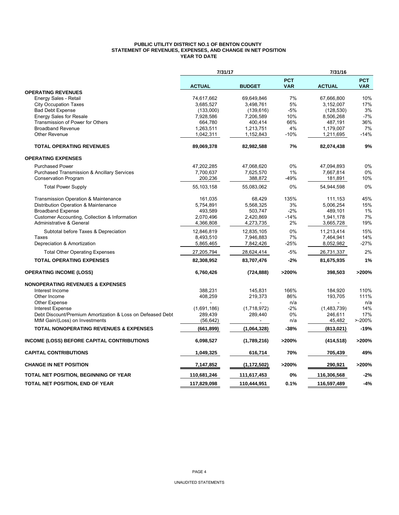#### **PUBLIC UTILITY DISTRICT NO.1 OF BENTON COUNTY STATEMENT OF REVENUES, EXPENSES, AND CHANGE IN NET POSITION YEAR TO DATE**

|                                                            | 7/31/17       |               |                          | 7/31/16       |                          |
|------------------------------------------------------------|---------------|---------------|--------------------------|---------------|--------------------------|
|                                                            | <b>ACTUAL</b> | <b>BUDGET</b> | <b>PCT</b><br><b>VAR</b> | <b>ACTUAL</b> | <b>PCT</b><br><b>VAR</b> |
| <b>OPERATING REVENUES</b>                                  |               |               |                          |               |                          |
| Energy Sales - Retail                                      | 74,617,662    | 69,649,846    | 7%                       | 67,666,800    | 10%                      |
| <b>City Occupation Taxes</b>                               | 3,685,527     | 3,498,761     | 5%                       | 3,152,007     | 17%                      |
| <b>Bad Debt Expense</b>                                    | (133,000)     | (139, 616)    | $-5%$                    | (128, 530)    | 3%                       |
| <b>Energy Sales for Resale</b>                             | 7,928,586     | 7,206,589     | 10%                      | 8,506,268     | $-7%$                    |
| Transmission of Power for Others                           | 664,780       | 400,414       | 66%                      | 487,191       | 36%                      |
| <b>Broadband Revenue</b>                                   | 1,263,511     | 1,213,751     | 4%                       | 1,179,007     | 7%                       |
| Other Revenue                                              | 1,042,311     | 1,152,843     | $-10%$                   | 1,211,695     | $-14%$                   |
| <b>TOTAL OPERATING REVENUES</b>                            | 89,069,378    | 82,982,588    | 7%                       | 82,074,438    | 9%                       |
| <b>OPERATING EXPENSES</b>                                  |               |               |                          |               |                          |
| <b>Purchased Power</b>                                     | 47,202,285    | 47,068,620    | 0%                       | 47,094,893    | 0%                       |
| <b>Purchased Transmission &amp; Ancillary Services</b>     | 7,700,637     | 7,625,570     | 1%                       | 7,667,814     | 0%                       |
| <b>Conservation Program</b>                                | 200,236       | 388,872       | -49%                     | 181,891       | 10%                      |
| <b>Total Power Supply</b>                                  | 55.103.158    | 55,083,062    | 0%                       | 54,944,598    | 0%                       |
| Transmission Operation & Maintenance                       | 161.035       | 68,429        | 135%                     | 111,153       | 45%                      |
| Distribution Operation & Maintenance                       | 5,754,891     | 5,568,325     | 3%                       | 5.006.254     | 15%                      |
| <b>Broadband Expense</b>                                   | 493,589       | 503,747       | $-2%$                    | 489,101       | 1%                       |
| Customer Accounting, Collection & Information              | 2,070,496     | 2,420,869     | $-14%$                   | 1,941,178     | 7%                       |
| Administrative & General                                   | 4,366,808     | 4,273,735     | 2%                       | 3,665,728     | 19%                      |
| Subtotal before Taxes & Depreciation                       | 12,846,819    | 12,835,105    | 0%                       | 11,213,414    | 15%                      |
| Taxes                                                      | 8,493,510     | 7,946,883     | 7%                       | 7,464,941     | 14%                      |
| Depreciation & Amortization                                | 5,865,465     | 7,842,426     | $-25%$                   | 8,052,982     | $-27%$                   |
| <b>Total Other Operating Expenses</b>                      | 27,205,794    | 28,624,414    | $-5%$                    | 26,731,337    | 2%                       |
| <b>TOTAL OPERATING EXPENSES</b>                            | 82,308,952    | 83,707,476    | $-2%$                    | 81,675,935    | 1%                       |
| <b>OPERATING INCOME (LOSS)</b>                             | 6,760,426     | (724, 888)    | >200%                    | 398,503       | >200%                    |
| <b>NONOPERATING REVENUES &amp; EXPENSES</b>                |               |               |                          |               |                          |
| Interest Income                                            | 388,231       | 145,831       | 166%                     | 184,920       | 110%                     |
| Other Income                                               | 408,259       | 219,373       | 86%                      | 193,705       | 111%                     |
| Other Expense                                              |               |               | n/a                      |               | n/a                      |
| <b>Interest Expense</b>                                    | (1,691,186)   | (1,718,972)   | $-2\%$                   | (1,483,739)   | 14%                      |
| Debt Discount/Premium Amortization & Loss on Defeased Debt | 289,439       | 289,440       | 0%                       | 246,611       | 17%                      |
| MtM Gain/(Loss) on Investments                             | (56, 642)     |               | n/a                      | 45,482        | $> -200%$                |
| <b>TOTAL NONOPERATING REVENUES &amp; EXPENSES</b>          | (661,899)     | (1,064,328)   | -38%                     | (813,021)     | $-19%$                   |
| <b>INCOME (LOSS) BEFORE CAPITAL CONTRIBUTIONS</b>          | 6,098,527     | (1,789,216)   | >200%                    | (414, 518)    | >200%                    |
| <b>CAPITAL CONTRIBUTIONS</b>                               | 1,049,325     | 616,714       | 70%                      | 705,439       | 49%                      |
| <b>CHANGE IN NET POSITION</b>                              | 7,147,852     | (1, 172, 502) | >200%                    | 290,921       | >200%                    |
| TOTAL NET POSITION, BEGINNING OF YEAR                      | 110,681,246   | 111,617,453   | 0%                       | 116,306,568   | $-2%$                    |
| TOTAL NET POSITION, END OF YEAR                            | 117,829,098   | 110,444,951   | 0.1%                     | 116,597,489   | $-4%$                    |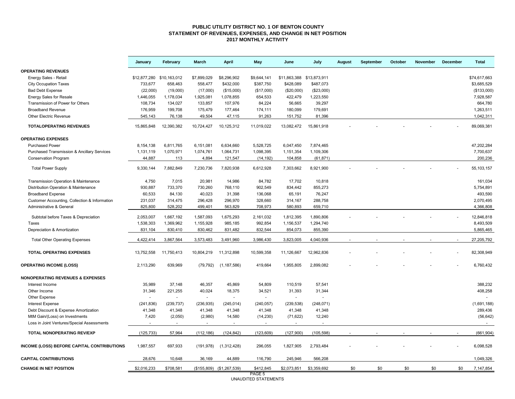#### **PUBLIC UTILITY DISTRICT NO. 1 OF BENTON COUNTY STATEMENT OF REVENUES, EXPENSES, AND CHANGE IN NET POSITION 2017 MONTHLY ACTIVITY**

|                                                 | January      | February     | <b>March</b>   | <b>April</b>              | May         | June                      | July        | August | September | October | <b>November</b> | December | <b>Total</b> |
|-------------------------------------------------|--------------|--------------|----------------|---------------------------|-------------|---------------------------|-------------|--------|-----------|---------|-----------------|----------|--------------|
| <b>OPERATING REVENUES</b>                       |              |              |                |                           |             |                           |             |        |           |         |                 |          |              |
| Energy Sales - Retail                           | \$12,877,280 | \$10,163,012 | \$7,899,029    | \$8,296,902               | \$9,644,141 | \$11,863,388 \$13,873,911 |             |        |           |         |                 |          | \$74.617.663 |
| <b>City Occupation Taxes</b>                    | 733.677      | 658.463      | 558.477        | \$432,000                 | \$387,750   | \$428,089                 | \$487,073   |        |           |         |                 |          | \$3.685.529  |
| <b>Bad Debt Expense</b>                         | (22,000)     | (19,000)     | (17,000)       | (\$15,000)                | (\$17,000)  | (\$20,000)                | (\$23,000)  |        |           |         |                 |          | (\$133,000)  |
| <b>Energy Sales for Resale</b>                  | 1,446,055    | 1,178,034    | 1,925,081      | 1,078,855                 | 654,533     | 422,479                   | 1,223,550   |        |           |         |                 |          | 7,928,587    |
| Transmission of Power for Others                | 108,734      | 134,027      | 133,857        | 107,976                   | 84,224      | 56,665                    | 39,297      |        |           |         |                 |          | 664,780      |
| <b>Broadband Revenue</b>                        | 176,959      | 199,708      | 175,479        | 177,464                   | 174,111     | 180,099                   | 179,691     |        |           |         |                 |          | 1,263,511    |
| <b>Other Electric Revenue</b>                   | 545,143      | 76,138       | 49,504         | 47,115                    | 91,263      | 151,752                   | 81,396      |        |           |         |                 |          | 1,042,311    |
| <b>TOTALOPERATING REVENUES</b>                  | 15,865,848   | 12,390,382   | 10,724,427     | 10,125,312                | 11,019,022  | 13,082,472                | 15,861,918  |        |           |         |                 |          | 89,069,381   |
| <b>OPERATING EXPENSES</b>                       |              |              |                |                           |             |                           |             |        |           |         |                 |          |              |
| <b>Purchased Power</b>                          | 8,154,138    | 6,811,765    | 6,151,081      | 6,634,660                 | 5,528,725   | 6,047,450                 | 7,874,465   |        |           |         |                 |          | 47,202,284   |
| Purchased Transmission & Ancillary Services     | 1,131,119    | 1,070,971    | 1,074,761      | 1,064,731                 | 1,098,395   | 1,151,354                 | 1,109,306   |        |           |         |                 |          | 7,700,637    |
| Conservation Program                            | 44,887       | 113          | 4,894          | 121,547                   | (14, 192)   | 104,858                   | (61, 871)   |        |           |         |                 |          | 200,236      |
| <b>Total Power Supply</b>                       | 9,330,144    | 7,882,849    | 7,230,736      | 7,820,938                 | 6,612,928   | 7,303,662                 | 8,921,900   |        |           |         |                 |          | 55, 103, 157 |
| <b>Transmission Operation &amp; Maintenance</b> | 4,750        | 7,015        | 20,981         | 14,986                    | 84,782      | 17,702                    | 10,818      |        |           |         |                 |          | 161,034      |
| Distribution Operation & Maintenance            | 930,887      | 733,370      | 730,260        | 768,110                   | 902,549     | 834,442                   | 855,273     |        |           |         |                 |          | 5,754,891    |
| <b>Broadband Expense</b>                        | 60,533       | 84,130       | 40,023         | 31,398                    | 136,068     | 65,191                    | 76,247      |        |           |         |                 |          | 493,590      |
| Customer Accounting, Collection & Information   | 231,037      | 314,475      | 296,428        | 296,970                   | 328,660     | 314,167                   | 288,758     |        |           |         |                 |          | 2,070,495    |
| Administrative & General                        | 825,800      | 528,202      | 499,401        | 563,829                   | 708,973     | 580,893                   | 659,710     |        |           |         |                 |          | 4,366,808    |
|                                                 |              |              |                |                           |             |                           |             |        |           |         |                 |          |              |
| Subtotal before Taxes & Depreciation            | 2,053,007    | 1,667,192    | 1,587,093      | 1,675,293                 | 2,161,032   | 1,812,395                 | 1,890,806   |        |           |         |                 |          | 12,846,818   |
| Taxes                                           | 1,538,303    | 1,369,962    | 1,155,928      | 985,185                   | 992,854     | 1,156,537                 | 1,294,740   |        |           |         |                 |          | 8,493,509    |
| Depreciation & Amortization                     | 831,104      | 830,410      | 830,462        | 831,482                   | 832,544     | 854,073                   | 855,390     |        |           |         |                 |          | 5,865,465    |
| <b>Total Other Operating Expenses</b>           | 4,422,414    | 3,867,564    | 3,573,483      | 3,491,960                 | 3,986,430   | 3,823,005                 | 4,040,936   |        |           |         |                 |          | 27,205,792   |
| <b>TOTAL OPERATING EXPENSES</b>                 | 13,752,558   | 11,750,413   | 10,804,219     | 11,312,898                | 10,599,358  | 11,126,667                | 12,962,836  |        |           |         |                 |          | 82,308,949   |
| <b>OPERATING INCOME (LOSS)</b>                  | 2,113,290    | 639,969      | (79, 792)      | (1, 187, 586)             | 419,664     | 1,955,805                 | 2,899,082   |        |           |         |                 |          | 6,760,432    |
| <b>NONOPERATING REVENUES &amp; EXPENSES</b>     |              |              |                |                           |             |                           |             |        |           |         |                 |          |              |
| Interest Income                                 | 35,989       | 37,148       | 46,357         | 45,869                    | 54,809      | 110,519                   | 57,541      |        |           |         |                 |          | 388,232      |
| Other Income                                    | 31,346       | 221,255      | 40,024         | 18,375                    | 34,521      | 31,393                    | 31,344      |        |           |         |                 |          | 408,258      |
| Other Expense                                   |              | $\omega$     | $\omega$       | $\omega$                  | $\sim$      | ÷,                        | $\omega$    |        |           |         |                 |          |              |
| <b>Interest Expense</b>                         | (241, 836)   | (239, 737)   | (236, 935)     | (245, 014)                | (240, 057)  | (239, 538)                | (248, 071)  |        |           |         |                 |          | (1,691,188)  |
| Debt Discount & Expense Amortization            | 41,348       | 41,348       | 41,348         | 41,348                    | 41,348      | 41,348                    | 41,348      |        |           |         |                 |          | 289,436      |
| MtM Gain/(Loss) on Investments                  | 7,420        | (2,050)      | (2,980)        | 14,580                    | (14, 230)   | (71, 622)                 | 12,240      |        |           |         |                 |          | (56, 642)    |
| Loss in Joint Ventures/Special Assessments      |              | $\sim$       | $\blacksquare$ | $\blacksquare$            | $\sim$      | $\sim$                    | $\sim$      |        |           |         |                 |          |              |
| <b>TOTAL NONOPERATING REV/EXP</b>               | (125, 733)   | 57,964       | (112, 186)     | (124, 842)                | (123, 609)  | (127, 900)                | (105, 598)  |        |           |         |                 |          | (661, 904)   |
| INCOME (LOSS) BEFORE CAPITAL CONTRIBUTIONS      | 1,987,557    | 697,933      | (191, 978)     | (1,312,428)               | 296,055     | 1,827,905                 | 2,793,484   |        |           |         |                 |          | 6,098,528    |
| <b>CAPITAL CONTRIBUTIONS</b>                    | 28,676       | 10,648       | 36,169         | 44,889                    | 116,790     | 245,946                   | 566,208     |        |           |         |                 |          | 1,049,326    |
| <b>CHANGE IN NET POSITION</b>                   | \$2,016,233  | \$708,581    |                | (\$155,809) (\$1,267,539) | \$412,845   | \$2,073,851               | \$3,359,692 | \$0    | \$0       | \$0     | \$0             | \$0      | 7,147,854    |
|                                                 |              |              |                |                           | PAGE 5      |                           |             |        |           |         |                 |          |              |

PAGE 5 UNAUDITED STATEMENTS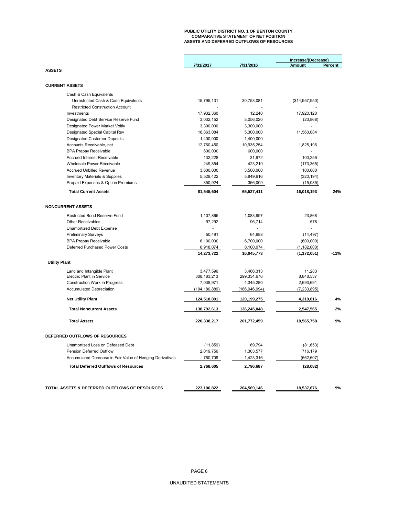### **PUBLIC UTILITY DISTRICT NO. 1 OF BENTON COUNTY COMPARATIVE STATEMENT OF NET POSITION ASSETS AND DEFERRED OUTFLOWS OF RESOURCES**

|                                                           |                 |               | Increase/(Decrease) |         |  |  |
|-----------------------------------------------------------|-----------------|---------------|---------------------|---------|--|--|
|                                                           | 7/31/2017       | 7/31/2016     | <b>Amount</b>       | Percent |  |  |
| <b>ASSETS</b>                                             |                 |               |                     |         |  |  |
|                                                           |                 |               |                     |         |  |  |
| <b>CURRENT ASSETS</b>                                     |                 |               |                     |         |  |  |
| Cash & Cash Equivalents                                   |                 |               |                     |         |  |  |
| Unrestricted Cash & Cash Equivalents                      | 15,795,131      | 30,753,081    | (\$14,957,950)      |         |  |  |
| <b>Restricted Construction Account</b>                    |                 |               |                     |         |  |  |
| Investments                                               | 17,932,360      | 12,240        | 17,920,120          |         |  |  |
| Designated Debt Service Reserve Fund                      | 3,032,152       | 3,056,020     | (23, 868)           |         |  |  |
| Designated Power Market Voltly                            | 3,300,000       | 3,300,000     |                     |         |  |  |
| Designated Special Capital Rsv                            | 16,863,084      | 5,300,000     | 11,563,084          |         |  |  |
| <b>Designated Customer Deposits</b>                       | 1,400,000       | 1,400,000     |                     |         |  |  |
| Accounts Receivable, net                                  | 12,760,450      | 10,935,254    | 1,825,196           |         |  |  |
| <b>BPA Prepay Receivable</b>                              | 600,000         | 600,000       |                     |         |  |  |
| Accrued Interest Receivable                               | 132,228         | 31,972        | 100,256             |         |  |  |
| Wholesale Power Receivable                                | 249,854         | 423,219       | (173, 365)          |         |  |  |
| <b>Accrued Unbilled Revenue</b>                           | 3,600,000       | 3,500,000     | 100,000             |         |  |  |
| <b>Inventory Materials &amp; Supplies</b>                 | 5,529,422       | 5,849,616     | (320, 194)          |         |  |  |
| Prepaid Expenses & Option Premiums                        | 350,924         | 366,009       | (15,085)            |         |  |  |
| <b>Total Current Assets</b>                               | 81,545,604      | 65,527,411    | 16,018,193          | 24%     |  |  |
| <b>NONCURRENT ASSETS</b>                                  |                 |               |                     |         |  |  |
|                                                           |                 |               |                     |         |  |  |
| <b>Restricted Bond Reserve Fund</b>                       | 1,107,865       | 1,083,997     | 23,868              |         |  |  |
| Other Receivables                                         | 97,292          | 96,714        | 578                 |         |  |  |
| Unamortized Debt Expense                                  |                 |               | $\overline{a}$      |         |  |  |
| <b>Preliminary Surveys</b>                                | 50.491          | 64,988        | (14, 497)           |         |  |  |
| <b>BPA Prepay Receivable</b>                              | 6,100,000       | 6,700,000     | (600,000)           |         |  |  |
| Deferred Purchased Power Costs                            | 6,918,074       | 8,100,074     | (1, 182, 000)       |         |  |  |
|                                                           | 14,273,722      | 16,045,773    | (1, 172, 051)       | $-11%$  |  |  |
| <b>Utility Plant</b>                                      |                 |               |                     |         |  |  |
| Land and Intangible Plant                                 | 3,477,596       | 3,466,313     | 11,283              |         |  |  |
| <b>Electric Plant in Service</b>                          | 308, 183, 213   | 299,334,676   | 8,848,537           |         |  |  |
| <b>Construction Work in Progress</b>                      | 7,038,971       | 4,345,280     | 2,693,691           |         |  |  |
| <b>Accumulated Depreciation</b>                           | (194, 180, 889) | (186,946,994) | (7, 233, 895)       |         |  |  |
| <b>Net Utility Plant</b>                                  | 124,518,891     | 120,199,275   | 4,319,616           | 4%      |  |  |
| <b>Total Noncurrent Assets</b>                            | 138,792,613     | 136,245,048   | 2,547,565           | 2%      |  |  |
| <b>Total Assets</b>                                       | 220,338,217     | 201,772,459   | 18,565,758          | 9%      |  |  |
| DEFERRED OUTFLOWS OF RESOURCES                            |                 |               |                     |         |  |  |
| Unamortized Loss on Defeased Debt                         | (11, 859)       | 69,794        | (81, 653)           |         |  |  |
| Pension Deferred Outflow                                  | 2,019,756       | 1,303,577     | 716,179             |         |  |  |
| Accumulated Decrease in Fair Value of Hedging Derivatives | 760,709         | 1,423,316     | (662, 607)          |         |  |  |
| <b>Total Deferred Outflows of Resources</b>               |                 |               |                     |         |  |  |
|                                                           | 2,768,605       | 2,796,687     | (28,082)            |         |  |  |
|                                                           |                 |               |                     |         |  |  |
| TOTAL ASSETS & DEFERRED OUTFLOWS OF RESOURCES             | 223,106,822     | 204,569,146   | 18,537,676          | 9%      |  |  |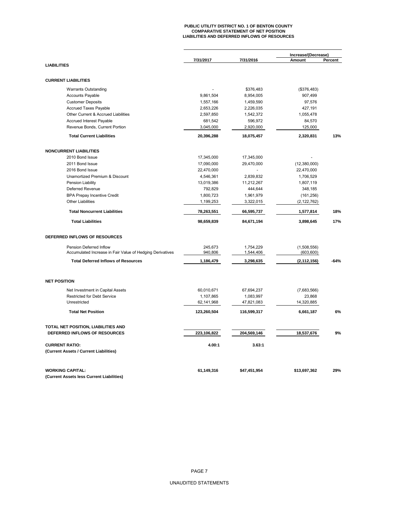# **PUBLIC UTILITY DISTRICT NO. 1 OF BENTON COUNTY COMPARATIVE STATEMENT OF NET POSITION LIABILITIES AND DEFERRED INFLOWS OF RESOURCES**

|                                                           |             |              | Increase/(Decrease) |         |
|-----------------------------------------------------------|-------------|--------------|---------------------|---------|
|                                                           | 7/31/2017   | 7/31/2016    | Amount              | Percent |
| <b>LIABILITIES</b>                                        |             |              |                     |         |
| <b>CURRENT LIABILITIES</b>                                |             |              |                     |         |
| <b>Warrants Outstanding</b>                               |             | \$376,483    | (\$376,483)         |         |
| <b>Accounts Payable</b>                                   | 9,861,504   | 8,954,005    | 907,499             |         |
| <b>Customer Deposits</b>                                  | 1,557,166   | 1,459,590    | 97,576              |         |
| <b>Accrued Taxes Payable</b>                              | 2,653,226   | 2,226,035    | 427,191             |         |
| Other Current & Accrued Liabilities                       | 2,597,850   | 1,542,372    | 1,055,478           |         |
| Accrued Interest Payable                                  | 681,542     | 596,972      | 84,570              |         |
| Revenue Bonds, Current Portion                            | 3,045,000   | 2,920,000    | 125,000             |         |
| <b>Total Current Liabilities</b>                          | 20,396,288  | 18,075,457   | 2,320,831           | 13%     |
| <b>NONCURRENT LIABILITIES</b>                             |             |              |                     |         |
| 2010 Bond Issue                                           | 17,345,000  | 17,345,000   |                     |         |
| 2011 Bond Issue                                           | 17,090,000  | 29,470,000   | (12,380,000)        |         |
| 2016 Bond Issue                                           | 22,470,000  |              | 22,470,000          |         |
| Unamortized Premium & Discount                            | 4,546,361   | 2,839,832    | 1,706,529           |         |
| Pension Liability                                         | 13,019,386  | 11,212,267   | 1,807,119           |         |
| Deferred Revenue                                          | 792,829     | 444,644      | 348,185             |         |
| <b>BPA Prepay Incentive Credit</b>                        | 1,800,723   | 1,961,979    | (161, 256)          |         |
| <b>Other Liabilities</b>                                  | 1,199,253   | 3,322,015    | (2, 122, 762)       |         |
|                                                           |             |              |                     |         |
| <b>Total Noncurrent Liabilities</b>                       | 78,263,551  | 66,595,737   | 1,577,814           | 18%     |
| <b>Total Liabilities</b>                                  | 98,659,839  | 84,671,194   | 3,898,645           | 17%     |
| DEFERRED INFLOWS OF RESOURCES                             |             |              |                     |         |
| Pension Deferred Inflow                                   | 245,673     | 1,754,229    | (1,508,556)         |         |
| Accumulated Increase in Fair Value of Hedging Derivatives | 940,806     | 1,544,406    | (603, 600)          |         |
| <b>Total Deferred Inflows of Resources</b>                | 1,186,479   | 3,298,635    | (2, 112, 156)       | $-64%$  |
| <b>NET POSITION</b>                                       |             |              |                     |         |
| Net Investment in Capital Assets                          | 60,010,671  | 67,694,237   | (7,683,566)         |         |
| Restricted for Debt Service                               | 1,107,865   | 1,083,997    | 23,868              |         |
| Unrestricted                                              | 62,141,968  | 47,821,083   | 14,320,885          |         |
| <b>Total Net Position</b>                                 | 123,260,504 | 116,599,317  | 6,661,187           | 6%      |
|                                                           |             |              |                     |         |
| TOTAL NET POSITION, LIABILITIES AND                       |             |              |                     |         |
| DEFERRED INFLOWS OF RESOURCES                             | 223,106,822 | 204,569,146  | 18,537,676          | 9%      |
| <b>CURRENT RATIO:</b>                                     | 4.00:1      | 3.63:1       |                     |         |
| (Current Assets / Current Liabilities)                    |             |              |                     |         |
| <b>WORKING CAPITAL:</b>                                   | 61,149,316  | \$47,451,954 | \$13,697,362        | 29%     |
| (Current Assets less Current Liabilities)                 |             |              |                     |         |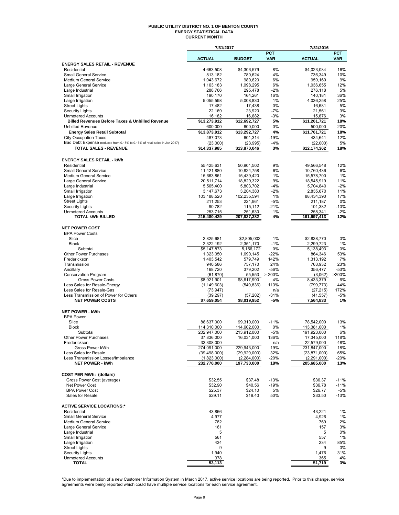#### **PUBLIC UTILITY DISTRICT NO. 1 OF BENTON COUNTY ENERGY STATISTICAL DATA CURRENT MONTH**

|                                                                            | 7/31/2017                  |                              |                          | 7/31/2016                    |                          |
|----------------------------------------------------------------------------|----------------------------|------------------------------|--------------------------|------------------------------|--------------------------|
|                                                                            | <b>ACTUAL</b>              | <b>BUDGET</b>                | <b>PCT</b><br><b>VAR</b> | <b>ACTUAL</b>                | <b>PCT</b><br><b>VAR</b> |
| <b>ENERGY SALES RETAIL - REVENUE</b>                                       |                            |                              |                          |                              |                          |
| Residential                                                                | 4,663,508                  | \$4.306.579                  | 8%                       | \$4,023,084                  | 16%                      |
| <b>Small General Service</b>                                               | 813,182                    | 780,624                      | 4%                       | 736,349                      | 10%                      |
| <b>Medium General Service</b><br>Large General Service                     | 1,043,672<br>1,163,183     | 980,620<br>1,098,295         | 6%<br>6%                 | 959,160<br>1,036,655         | 9%<br>12%                |
| Large Industrial                                                           | 288,766                    | 295,478                      | $-2%$                    | 276,118                      | 5%                       |
| Small Irrigation                                                           | 190,170                    | 164,261                      | 16%                      | 140,181                      | 36%                      |
| Large Irrigation                                                           | 5,055,598                  | 5,008,830                    | 1%                       | 4,036,258                    | 25%                      |
| <b>Street Lights</b>                                                       | 17,482                     | 17,438                       | 0%                       | 16,681                       | 5%                       |
| <b>Security Lights</b><br><b>Unmetered Accounts</b>                        | 22,169<br>16,182           | 23,920<br>16,682             | $-7%$<br>$-3%$           | 21,561<br>15,676             | 3%<br>3%                 |
| <b>Billed Revenues Before Taxes &amp; Unbilled Revenue</b>                 | \$13,273,912               | \$12,692,727                 | 5%                       | \$11,261,721                 | 18%                      |
| <b>Unbilled Revenue</b>                                                    | 600,000                    | 600,000                      | 0%                       | 500,000                      | 20%                      |
| <b>Energy Sales Retail Subtotal</b>                                        | \$13,873,912               | \$13,292,727                 | 4%                       | \$11,761,721                 | 18%                      |
| <b>City Occupation Taxes</b>                                               | 487,073                    | 601,314                      | $-19%$                   | 434,641                      | 12%                      |
| Bad Debt Expense (reduced from 0.18% to 0.16% of retail sales in Jan 2017) | (23,000)                   | (23, 995)                    | $-4%$                    | (22,000)                     | 5%                       |
| <b>TOTAL SALES - REVENUE</b>                                               | \$14,337,985               | \$13,870,046                 | 3%                       | \$12,174,362                 | 18%                      |
| <b>ENERGY SALES RETAIL - kWh</b>                                           |                            |                              |                          |                              |                          |
| Residential                                                                | 55,425,631                 | 50,901,502                   | 9%                       | 49,566,548                   | 12%                      |
| <b>Small General Service</b>                                               | 11,421,880                 | 10,824,758                   | 6%                       | 10,760,436                   | 6%                       |
| <b>Medium General Service</b>                                              | 15,663,861                 | 15,439,420                   | 1%                       | 15,578,700                   | 1%                       |
| Large General Service                                                      | 20,511,714                 | 18,829,322                   | 9%                       | 18,545,919                   | 11%                      |
| Large Industrial                                                           | 5,565,400                  | 5,803,702                    | $-4%$                    | 5,704,840                    | $-2%$                    |
| Small Irrigation<br>Large Irrigation                                       | 3,147,673<br>103,188,520   | 3,204,380<br>102,235,594     | $-2%$<br>1%              | 2,835,670<br>88,434,390      | 11%<br>17%               |
| <b>Street Lights</b>                                                       | 211,253                    | 221,961                      | $-5%$                    | 211,187                      | 0%                       |
| <b>Security Lights</b>                                                     | 90,782                     | 115,112                      | $-21%$                   | 101,382                      | $-10%$                   |
| <b>Unmetered Accounts</b>                                                  | 253.715                    | 251,630                      | 1%                       | 258,341                      | $-2%$                    |
| <b>TOTAL kWh BILLED</b>                                                    | 215,480,429                | 207,827,382                  | 4%                       | 191,997,413                  | 12%                      |
| <b>NET POWER COST</b>                                                      |                            |                              |                          |                              |                          |
| <b>BPA Power Costs</b>                                                     |                            |                              |                          |                              |                          |
| Slice                                                                      | 2,825,681                  | \$2,805,002                  | 1%                       | \$2,838,770                  | 0%                       |
| <b>Block</b>                                                               | 2,322,192                  | 2,351,170                    | $-1%$                    | 2,299,723                    | 1%                       |
| Subtotal                                                                   | \$5,147,873                | 5,156,172                    | 0%                       | 5,138,493                    | 0%                       |
| <b>Other Power Purchases</b>                                               | 1,323,050                  | 1,690,145                    | $-22%$                   | 864,346                      | 53%                      |
| Frederickson<br>Transmission                                               | 1,403,542<br>940,586       | 579,749<br>757,170           | 142%<br>24%              | 1,313,192<br>763,932         | 7%<br>23%                |
| Ancillary                                                                  | 168,720                    | 379,202                      | -56%                     | 356,477                      | $-53%$                   |
| <b>Conservation Program</b>                                                | (61, 870)                  | 55,553 >-200%                |                          | (3,062)                      | >200%                    |
| <b>Gross Power Costs</b>                                                   | \$8,921,901                | \$8,617,990                  | 4%                       | 8,433,379                    | 6%                       |
| Less Sales for Resale-Energy                                               | (1, 149, 603)              | (540, 836)                   | 113%                     | (799, 773)                   | 44%                      |
| Less Sales for Resale-Gas                                                  | (73, 947)                  |                              | n/a                      | (27, 215)                    | 172%                     |
| Less Transmission of Power for Others<br><b>NET POWER COSTS</b>            | (39, 297)<br>\$7.659.054   | (57, 202)<br>\$8,019,952     | $-31%$<br>$-5%$          | (41, 557)<br>7,564,833       | -5%<br>1%                |
|                                                                            |                            |                              |                          |                              |                          |
| <b>NET POWER - kWh</b>                                                     |                            |                              |                          |                              |                          |
| <b>BPA Power</b>                                                           |                            |                              |                          |                              |                          |
| Slice<br><b>Block</b>                                                      | 88,637,000<br>114,310,000  | 99.310.000<br>114,602,000    | $-11%$<br>0%             | 78,542,000<br>113,381,000    | 13%<br>1%                |
| Subtotal                                                                   | 202,947,000                | 213,912,000                  | $-5%$                    | 191,923,000                  | 6%                       |
| Other Power Purchases                                                      | 37,836,000                 | 16,031,000                   | 136%                     | 17,345,000                   | 118%                     |
| Frederickson                                                               | 33,308,000                 |                              | n/a                      | 22,579,000                   | 48%                      |
| Gross Power kWh                                                            | 274,091,000                | 229,943,000                  | 19%                      | 231,847,000                  | 18%                      |
| Less Sales for Resale                                                      | (39, 498, 000)             | (29,929,000)                 | 32%                      | (23, 871, 000)               | 65%                      |
| Less Transmission Losses/Imbalance<br><b>NET POWER - kWh</b>               | (1,823,000)<br>232,770,000 | (2, 284, 000)<br>197,730,000 | -20%<br>18%              | (2, 291, 000)<br>205,685,000 | -20%<br>13%              |
|                                                                            |                            |                              |                          |                              |                          |
| <b>COST PER MWh: (dollars)</b>                                             |                            |                              |                          |                              |                          |
| Gross Power Cost (average)                                                 | \$32.55                    | \$37.48                      | $-13%$                   | \$36.37                      | $-11%$                   |
| Net Power Cost                                                             | \$32.90                    | \$40.56                      | $-19%$                   | \$36.78                      | $-11%$                   |
| <b>BPA Power Cost</b><br>Sales for Resale                                  | \$25.37<br>\$29.11         | \$24.10<br>\$19.40           | 5%<br>50%                | \$26.77<br>\$33.50           | -5%<br>$-13%$            |
|                                                                            |                            |                              |                          |                              |                          |
| <b>ACTIVE SERVICE LOCATIONS:*</b><br>Residential                           | 43,866                     |                              |                          | 43,221                       | 1%                       |
| <b>Small General Service</b>                                               | 4,977                      |                              |                          | 4,926                        | 1%                       |
| <b>Medium General Service</b>                                              | 782                        |                              |                          | 769                          | 2%                       |
| Large General Service                                                      | 161                        |                              |                          | 157                          | 3%                       |
| Large Industrial                                                           | 5                          |                              |                          | 5                            | 0%                       |
| Small Irrigation                                                           | 561                        |                              |                          | 557                          | 1%                       |
| Large Irrigation                                                           | 434                        |                              |                          | 234                          | 85%                      |
| <b>Street Lights</b>                                                       | 9                          |                              |                          | 9                            | 0%                       |
| <b>Security Lights</b><br><b>Unmetered Accounts</b>                        | 1,940<br>378               |                              |                          | 1,476<br>365                 | 31%<br>4%                |
| <b>TOTAL</b>                                                               | 53,113                     |                              |                          | 51,719                       | 3%                       |

\*Due to implementation of a new Customer Information System in March 2017, active service locations are being reported. Prior to this change, service<br>agreements were being reported which could have multiple service locati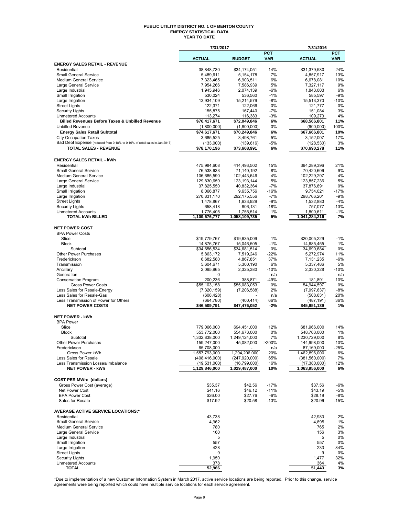#### **PUBLIC UTILITY DISTRICT NO. 1 OF BENTON COUNTY ENERGY STATISTICAL DATA YEAR TO DATE**

|                                                                                         | 7/31/2017                        |                                  |                          | 7/31/2016                   |                          |
|-----------------------------------------------------------------------------------------|----------------------------------|----------------------------------|--------------------------|-----------------------------|--------------------------|
|                                                                                         | <b>ACTUAL</b>                    | <b>BUDGET</b>                    | <b>PCT</b><br><b>VAR</b> | <b>ACTUAL</b>               | <b>PCT</b><br><b>VAR</b> |
| <b>ENERGY SALES RETAIL - REVENUE</b>                                                    |                                  |                                  |                          |                             |                          |
| Residential                                                                             | 38,848,730                       | \$34,174,051                     | 14%                      | \$31,379,580                | 24%                      |
| <b>Small General Service</b>                                                            | 5,489,611                        | 5,154,178                        | 7%                       | 4,857,917                   | 13%                      |
| <b>Medium General Service</b>                                                           | 7,323,465                        | 6,903,511                        | 6%                       | 6,678,081                   | 10%                      |
| Large General Service<br>Large Industrial                                               | 7,954,266<br>1,945,946           | 7,586,939<br>2,074,139           | 5%<br>-6%                | 7,327,117<br>1,843,003      | 9%<br>6%                 |
| Small Irrigation                                                                        | 530,024                          | 536,560                          | $-1%$                    | 585,597                     | -9%                      |
| Large Irrigation                                                                        | 13,934,109                       | 15,214,579                       | -8%                      | 15,513,370                  | $-10%$                   |
| <b>Street Lights</b>                                                                    | 122,371                          | 122,066                          | 0%                       | 121,777                     | 0%                       |
| <b>Security Lights</b>                                                                  | 155,875                          | 167,440                          | $-7%$                    | 151,084                     | 3%<br>4%                 |
| <b>Unmetered Accounts</b><br><b>Billed Revenues Before Taxes &amp; Unbilled Revenue</b> | 113,274<br>\$76,417,671          | 116,383<br>\$72,049,846          | $-3%$<br>6%              | 109,273<br>\$68,566,801     | 11%                      |
| <b>Unbilled Revenue</b>                                                                 | (1,800,000)                      | (1,800,000)                      | 0%                       | (900,000)                   | 100%                     |
| <b>Energy Sales Retail Subtotal</b>                                                     | \$74,617,671                     | \$70,249,846                     | 6%                       | \$67,666,801                | 10%                      |
| <b>City Occupation Taxes</b>                                                            | 3,685,525                        | 3,498,761                        | 5%                       | 3,152,007                   | 17%                      |
| Bad Debt Expense (reduced from 0.18% to 0.16% of retail sales in Jan 2017)              | (133,000)                        | (139, 616)                       | -5%                      | (128, 530)                  | 3%                       |
| TOTAL SALES - REVENUE                                                                   | \$78,170,196                     | \$73,608,991                     | 6%                       | \$70,690,278                | 11%                      |
|                                                                                         |                                  |                                  |                          |                             |                          |
| <b>ENERGY SALES RETAIL - kWh</b><br>Residential                                         |                                  |                                  | 15%                      |                             | 21%                      |
| <b>Small General Service</b>                                                            | 475,984,608<br>76,538,633        | 414,493,502<br>71,140,192        | 8%                       | 394,289,396<br>70,420,606   | 9%                       |
| Medium General Service                                                                  | 106,685,590                      | 102,443,646                      | 4%                       | 102,229,297                 | 4%                       |
| Large General Service                                                                   | 129,830,659                      | 123, 193, 144                    | 5%                       | 123,857,236                 | 5%                       |
| Large Industrial                                                                        | 37,825,550                       | 40,832,364                       | $-7%$                    | 37,876,891                  | 0%                       |
| Small Irrigation                                                                        | 8,066,877                        | 9,635,756                        | $-16%$                   | 9,754,021                   | $-17%$                   |
| Large Irrigation                                                                        | 270,831,170                      | 292, 175, 556                    | $-7%$                    | 298,766,201                 | $-9%$                    |
| <b>Street Lights</b>                                                                    | 1,478,867                        | 1,633,929                        | -9%                      | 1,532,883                   | $-4%$                    |
| <b>Security Lights</b><br><b>Unmetered Accounts</b>                                     | 658,418<br>1,776,405             | 806,131<br>1,755,514             | $-18%$<br>1%             | 757,077<br>1,800,611        | -13%<br>$-1%$            |
| <b>TOTAL kWh BILLED</b>                                                                 | 1,109,676,777                    | 1,058,109,735                    | 5%                       | 1,041,284,219               | 7%                       |
|                                                                                         |                                  |                                  |                          |                             |                          |
| <b>NET POWER COST</b>                                                                   |                                  |                                  |                          |                             |                          |
| <b>BPA Power Costs</b>                                                                  |                                  |                                  |                          |                             |                          |
| Slice<br><b>Block</b>                                                                   | \$19,779,767                     | \$19,635,009                     | 1%<br>$-1%$              | \$20,005,229                | $-1%$<br>1%              |
| Subtotal                                                                                | 14,876,767<br>\$34,656,534       | 15,046,505<br>\$34,681,514       | 0%                       | 14,685,455<br>34,690,684    | 0%                       |
| <b>Other Power Purchases</b>                                                            | 5,863,172                        | 7,519,246                        | -22%                     | 5,272,974                   | 11%                      |
| Frederickson                                                                            | 6,682,580                        | 4,867,851                        | 37%                      | 7,131,235                   | -6%                      |
| Transmission                                                                            | 5,604,671                        | 5,300,190                        | 6%                       | 5,337,486                   | 5%                       |
| Ancillary                                                                               | 2,095,965                        | 2,325,380                        | $-10%$                   | 2,330,328                   | $-10%$                   |
| Generation                                                                              | 0                                |                                  | n/a                      |                             | n/a                      |
| <b>Conservation Program</b><br><b>Gross Power Costs</b>                                 | 200,236<br>\$55,103,158          | 388,871<br>\$55,083,053          | -49%<br>0%               | 181,891<br>54,944,597       | 10%<br>0%                |
| Less Sales for Resale-Energy                                                            | (7,320,159)                      | (7, 206, 588)                    | 2%                       | (7,997,637)                 | -8%                      |
| Less Sales for Resale-Gas                                                               | (608, 428)                       |                                  | n/a                      | (508, 631)                  | 20%                      |
| Less Transmission of Power for Others                                                   | (664, 780)                       | (400,414)                        | 66%                      | (487, 191)                  | 36%                      |
| <b>NET POWER COSTS</b>                                                                  | \$46,509,791                     | \$47,476,052                     | -2%                      | \$45.951.139                | 1%                       |
| <b>NET POWER - kWh</b>                                                                  |                                  |                                  |                          |                             |                          |
| <b>BPA Power</b>                                                                        |                                  |                                  |                          |                             |                          |
| Slice                                                                                   | 779,066,000                      | 694,451,000                      | 12%                      | 681,966,000                 | 14%                      |
| <b>Block</b>                                                                            | 553,772,000                      | 554,673,000                      | 0%                       | 548,763,000                 | 1%                       |
| Subtotal                                                                                | 1,332,838,000                    | 1,249,124,000                    | 7%                       | 1,230,729,000               | 8%                       |
| Other Power Purchases                                                                   | 159,247,000                      | 45,082,000                       | >200%                    | 144,998,000                 | 10%                      |
| Frederickson                                                                            | 65,708,000                       |                                  | n/a                      | 87,169,000<br>1,462,896,000 | -25%                     |
| Gross Power kWh<br>Less Sales for Resale                                                | 1,557,793,000<br>(408, 416, 000) | 1,294,206,000<br>(247, 920, 000) | 20%<br>65%               | (381, 560, 000)             | 6%<br>7%                 |
| Less Transmission Losses/Imbalance                                                      | (19, 531, 000)                   | (16,799,000)                     | 16%                      | (17, 380, 000)              | 12%                      |
| <b>NET POWER - kWh</b>                                                                  | 1,129,846,000                    | 1,029,487,000                    | 10%                      | 1,063,956,000               | 6%                       |
|                                                                                         |                                  |                                  |                          |                             |                          |
| <b>COST PER MWh: (dollars)</b>                                                          |                                  |                                  |                          |                             |                          |
| Gross Power Cost (average)                                                              | \$35.37                          | \$42.56                          | $-17%$                   | \$37.56                     | -6%                      |
| Net Power Cost<br><b>BPA Power Cost</b>                                                 | \$41.16<br>\$26.00               | \$46.12<br>\$27.76               | $-11%$<br>-6%            | \$43.19<br>\$28.19          | -5%<br>-8%               |
| Sales for Resale                                                                        | \$17.92                          | \$20.58                          | $-13%$                   | \$20.96                     | $-15%$                   |
|                                                                                         |                                  |                                  |                          |                             |                          |
| <b>AVERAGE ACTIVE SERVICE LOCATIONS:*</b>                                               |                                  |                                  |                          |                             |                          |
| Residential                                                                             | 43,738                           |                                  |                          | 42,983                      | 2%                       |
| <b>Small General Service</b>                                                            | 4,962                            |                                  |                          | 4,895                       | 1%                       |
| Medium General Service<br>Large General Service                                         | 780<br>160                       |                                  |                          | 765<br>156                  | 2%<br>3%                 |
| Large Industrial                                                                        | 5                                |                                  |                          | 5                           | 0%                       |
| Small Irrigation                                                                        | 557                              |                                  |                          | 557                         | 0%                       |
| Large Irrigation                                                                        | 428                              |                                  |                          | 233                         | 84%                      |
| <b>Street Lights</b>                                                                    | 9                                |                                  |                          | 9                           | 0%                       |
| <b>Security Lights</b>                                                                  | 1,950                            |                                  |                          | 1,477                       | 32%                      |
| <b>Unmetered Accounts</b>                                                               | 378                              |                                  |                          | 364                         | 4%                       |
| <b>TOTAL</b>                                                                            | 52,966                           |                                  |                          | 51,443                      | 3%                       |

\*Due to implementation of a new Customer Information System in March 2017, active service locations are being reported. Prior to this change, service<br>agreements were being reported which could have multiple service locati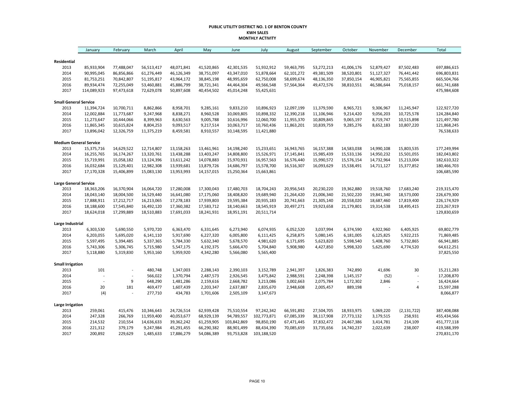#### **PUBLIC UTILITY DISTRICT NO. 1 OF BENTON COUNTY KWH SALES MONTHLY ACTIVITY**

|                               | January        | February       | March      | April      | May        | June        | July        | August     | September  | October    | November   | December       | Total       |
|-------------------------------|----------------|----------------|------------|------------|------------|-------------|-------------|------------|------------|------------|------------|----------------|-------------|
| Residential                   |                |                |            |            |            |             |             |            |            |            |            |                |             |
| 2013                          | 85,933,904     | 77,488,047     | 56,513,417 | 48,071,841 | 41,520,865 | 42,301,535  | 51,932,912  | 59,463,795 | 53,272,213 | 41,006,176 | 52,879,427 | 87,502,483     | 697,886,615 |
| 2014                          | 90,995,045     | 86,856,866     | 61,276,449 | 46,126,349 | 38,751,097 | 43,347,010  | 51,878,664  | 62,101,272 | 49,381,509 | 38,520,801 | 51,127,327 | 76,441,442     | 696,803,831 |
| 2015                          | 81,753,251     | 70,842,807     | 51,195,817 | 43,964,172 | 38,845,198 | 48,995,659  | 62,750,008  | 58,699,674 | 48,136,350 | 37,850,154 | 46,905,821 | 75,565,855     | 665,504,766 |
| 2016                          | 89,934,474     | 72,255,049     | 53,460,881 | 45,886,799 | 38,721,341 | 44,464,304  | 49,566,548  | 57,564,364 | 49,472,576 | 38,810,551 | 46,586,644 | 75,018,157     | 661,741,688 |
| 2017                          | 114,089,923    | 97,473,618     | 72,629,078 | 50,897,608 | 40,454,502 | 45,014,248  | 55,425,631  |            |            |            |            |                | 475,984,608 |
| <b>Small General Service</b>  |                |                |            |            |            |             |             |            |            |            |            |                |             |
| 2013                          | 11,394,724     | 10,700,711     | 8,862,866  | 8,958,701  | 9,285,161  | 9,833,210   | 10,896,923  | 12,097,199 | 11,379,590 | 8,965,721  | 9,306,967  | 11,245,947     | 122,927,720 |
| 2014                          | 12,002,884     | 11,773,687     | 9,247,968  | 8,838,271  | 8,960,528  | 10,069,805  | 10,898,332  | 12,390,218 | 11,106,946 | 9,214,420  | 9,056,203  | 10,725,578     | 124,284,840 |
| 2015                          | 11,273,647     | 10,444,066     | 8,399,963  | 8,630,563  | 9,005,788  | 10,616,996  | 12,060,700  | 11,955,370 | 10,809,845 | 9,065,197  | 8,719,747  | 10,515,898     | 121,497,780 |
| 2016                          | 11,865,345     | 10,615,824     | 8,804,253  | 9,093,517  | 9,217,514  | 10,063,717  | 10,760,436  | 11,863,201 | 10,839,759 | 9,285,276  | 8,652,183  | 10,807,220     | 121,868,245 |
| 2017                          | 13,896,042     | 12,326,759     | 11,375,219 | 8,459,581  | 8,910,557  | 10,148,595  | 11,421,880  |            |            |            |            |                | 76,538,633  |
| <b>Medium General Service</b> |                |                |            |            |            |             |             |            |            |            |            |                |             |
| 2013                          | 15,375,716     | 14,629,522     | 12,714,807 | 13,158,263 | 13,461,961 | 14,198,240  | 15,233,651  | 16,943,765 | 16,157,388 | 14,583,038 | 14,990,108 | 15,803,535     | 177,249,994 |
| 2014                          | 16,255,765     | 16,174,267     | 13,320,761 | 13,438,288 | 13,403,247 | 14,808,800  | 15,526,971  | 17,145,841 | 15,985,439 | 15,533,136 | 14,950,232 | 15,501,055     | 182,043,802 |
| 2015                          | 15,719,991     | 15,058,182     | 13,124,396 | 13,611,242 | 14,078,883 | 15,970,931  | 16,957,563  | 16,576,440 | 15,990,572 | 15,576,154 | 14,732,964 | 15,213,004     | 182,610,322 |
| 2016                          | 16,032,684     | 15,129,401     | 12,982,308 | 13,939,681 | 13,879,726 | 14,686,797  | 15,578,700  | 16,516,307 | 16,093,629 | 15,538,491 | 14,711,127 | 15,377,852     | 180,466,703 |
| 2017                          | 17,170,328     | 15,406,899     | 15,083,130 | 13,953,993 | 14,157,015 | 15,250,364  | 15,663,861  |            |            |            |            |                | 106,685,590 |
| <b>Large General Service</b>  |                |                |            |            |            |             |             |            |            |            |            |                |             |
| 2013                          | 18,363,206     | 16,370,904     | 16,064,720 | 17,280,008 | 17,300,043 | 17,480,703  | 18,704,243  | 20,956,543 | 20,230,220 | 19,362,880 | 19,518,760 | 17,683,240     | 219,315,470 |
| 2014                          | 18,043,140     | 18,004,500     | 16,529,440 | 16,641,080 | 17,175,060 | 18,408,820  | 19,689,940  | 21,264,420 | 21,006,340 | 21,502,220 | 19,841,340 | 18,573,000     | 226,679,300 |
| 2015                          | 17,888,911     | 17,212,717     | 16,213,065 | 17,278,183 | 17,939,803 | 19,595,384  | 20,935,183  | 20,741,663 | 21,305,140 | 20,558,020 | 18,687,460 | 17,819,400     | 226,174,929 |
| 2016                          | 18,188,600     | 17,545,840     | 16,492,120 | 17,360,382 | 17,583,712 | 18,140,663  | 18,545,919  | 20,497,271 | 19,923,658 | 21,179,801 | 19,314,538 | 18,495,415     | 223,267,919 |
| 2017                          | 18,624,018     | 17,299,889     | 18,510,883 | 17,691,033 | 18,241,931 | 18,951,191  | 20,511,714  |            |            |            |            |                | 129,830,659 |
| Large Industrial              |                |                |            |            |            |             |             |            |            |            |            |                |             |
| 2013                          | 6,303,530      | 5,690,550      | 5,970,720  | 6,363,470  | 6,331,645  | 6,273,940   | 6,074,935   | 6,052,520  | 3,037,994  | 6,374,590  | 4,922,960  | 6,405,925      | 69,802,779  |
| 2014                          | 6,203,055      | 5,695,020      | 6,141,110  | 5,917,690  | 6,227,320  | 6,005,800   | 6,111,425   | 6,258,875  | 5,080,145  | 6,181,005  | 6,125,825  | 5,922,215      | 71,869,485  |
| 2015                          | 5,597,495      | 5,394,485      | 5,337,365  | 5,784,330  | 5,632,340  | 5,678,570   | 4,981,620   | 6,171,695  | 5,623,820  | 5,598,540  | 5,408,760  | 5,732,865      | 66,941,885  |
| 2016                          | 5,743,306      | 5,306,745      | 5,715,980  | 5,547,175  | 4,192,375  | 5,666,470   | 5,704,840   | 5,908,980  | 4,427,850  | 5,998,320  | 5,625,690  | 4,774,520      | 64,612,251  |
| 2017                          | 5,118,880      | 5,319,830      | 5,953,160  | 5,959,920  | 4,342,280  | 5,566,080   | 5,565,400   |            |            |            |            |                | 37,825,550  |
| <b>Small Irrigation</b>       |                |                |            |            |            |             |             |            |            |            |            |                |             |
| 2013                          | 101            | $\overline{a}$ | 480,748    | 1,347,003  | 2,288,143  | 2,390,103   | 3,152,789   | 2,941,397  | 1,826,383  | 742,890    | 41,696     | 30             | 15,211,283  |
| 2014                          |                | $\overline{a}$ | 566,022    | 1,370,794  | 2,487,573  | 2,926,545   | 3,475,842   | 2,988,591  | 2,248,398  | 1,145,157  | (52)       | $\overline{a}$ | 17,208,870  |
| 2015                          | $\overline{a}$ | 9              | 648,290    | 1,481,286  | 2,159,616  | 2,668,782   | 3,213,086   | 3,002,663  | 2,075,784  | 1,172,302  | 2,846      | $\overline{a}$ | 16,424,664  |
| 2016                          | 20             | 181            | 469,477    | 1,607,439  | 2,203,347  | 2,637,887   | 2,835,670   | 2,948,608  | 2,005,457  | 889,198    |            | 4              | 15,597,288  |
| 2017                          | (4)            |                | 277,710    | 434,783    | 1,701,606  | 2,505,109   | 3,147,673   |            |            |            |            |                | 8,066,877   |
| <b>Large Irrigation</b>       |                |                |            |            |            |             |             |            |            |            |            |                |             |
| 2013                          | 259,061        | 415,476        | 10,346,643 | 24,726,514 | 62,939,428 | 75,510,554  | 97,242,342  | 66,591,892 | 27,504,705 | 18,933,975 | 5,069,220  | (2, 131, 722)  | 387,408,088 |
| 2014                          | 247,328        | 266,769        | 11,959,400 | 40,053,677 | 68,929,139 | 94,789,557  | 102,773,871 | 67,085,339 | 38,117,908 | 27,773,132 | 3,179,515  | 258,931        | 455,434,566 |
| 2015                          | 214,532        | 210,554        | 14,636,633 | 39,362,242 | 61,259,905 | 103,842,869 | 98,850,190  | 67,471,445 | 37,832,472 | 24,467,386 | 3,414,781  | 214,109        | 451,777,118 |
| 2016                          | 221,312        | 379,179        | 9,247,984  | 45,291,455 | 66,290,382 | 88,901,499  | 88,434,390  | 70,085,659 | 33,735,656 | 14,740,237 | 2,022,639  | 238,007        | 419,588,399 |
| 2017                          | 200,892        | 229,629        | 1,485,633  | 17,886,279 | 54,086,389 | 93,753,828  | 103,188,520 |            |            |            |            |                | 270,831,170 |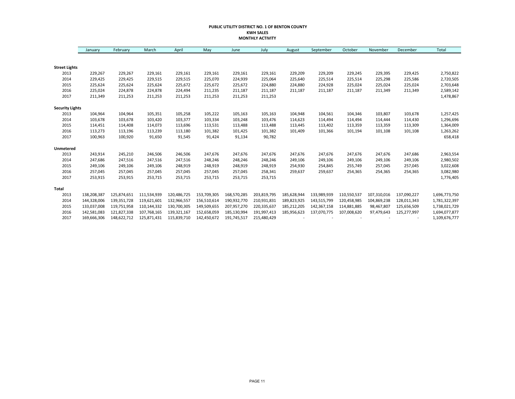#### **PUBLIC UTILITY DISTRICT NO. 1 OF BENTON COUNTY KWH SALES MONTHLY ACTIVITY**

|                        | January     | February    | March       | April       | May         | June        | July        | August      | September   | October     | November    | December    | Total         |
|------------------------|-------------|-------------|-------------|-------------|-------------|-------------|-------------|-------------|-------------|-------------|-------------|-------------|---------------|
|                        |             |             |             |             |             |             |             |             |             |             |             |             |               |
| <b>Street Lights</b>   |             |             |             |             |             |             |             |             |             |             |             |             |               |
| 2013                   | 229,267     | 229,267     | 229,161     | 229,161     | 229,161     | 229,161     | 229,161     | 229,209     | 229,209     | 229,245     | 229,395     | 229,425     | 2,750,822     |
| 2014                   | 229,425     | 229,425     | 229,515     | 229,515     | 225,070     | 224,939     | 225,064     | 225,640     | 225,514     | 225,514     | 225,298     | 225,586     | 2,720,505     |
| 2015                   | 225,624     | 225,624     | 225,624     | 225,672     | 225,672     | 225,672     | 224,880     | 224,880     | 224,928     | 225,024     | 225,024     | 225,024     | 2,703,648     |
| 2016                   | 225,024     | 224,878     | 224,878     | 224,494     | 211,235     | 211,187     | 211,187     | 211,187     | 211,187     | 211,187     | 211,349     | 211,349     | 2,589,142     |
| 2017                   | 211,349     | 211,253     | 211,253     | 211,253     | 211,253     | 211,253     | 211,253     |             |             |             |             |             | 1,478,867     |
| <b>Security Lights</b> |             |             |             |             |             |             |             |             |             |             |             |             |               |
| 2013                   | 104,964     | 104,964     | 105,351     | 105,258     | 105,222     | 105,163     | 105,163     | 104,948     | 104,561     | 104,346     | 103,807     | 103,678     | 1,257,425     |
| 2014                   | 103,678     | 103,678     | 103,420     | 103,377     | 103,334     | 103,248     | 103,476     | 114,623     | 114,494     | 114,494     | 114,444     | 114,430     | 1,296,696     |
| 2015                   | 114,451     | 114,408     | 114,073     | 113,696     | 113,531     | 113,488     | 113,488     | 113,445     | 113,402     | 113,359     | 113,359     | 113,309     | 1,364,009     |
| 2016                   | 113,273     | 113,196     | 113,239     | 113,180     | 101,382     | 101,425     | 101,382     | 101,409     | 101,366     | 101,194     | 101,108     | 101,108     | 1,263,262     |
| 2017                   | 100,963     | 100,920     | 91,650      | 91,545      | 91,424      | 91,134      | 90,782      |             |             |             |             |             | 658,418       |
| Unmetered              |             |             |             |             |             |             |             |             |             |             |             |             |               |
| 2013                   | 243,914     | 245,210     | 246,506     | 246,506     | 247,676     | 247,676     | 247,676     | 247,676     | 247,676     | 247,676     | 247,676     | 247,686     | 2,963,554     |
| 2014                   | 247,686     | 247,516     | 247,516     | 247,516     | 248,246     | 248,246     | 248,246     | 249,106     | 249,106     | 249,106     | 249,106     | 249,106     | 2,980,502     |
| 2015                   | 249,106     | 249,106     | 249,106     | 248,919     | 248,919     | 248,919     | 248,919     | 254,930     | 254,845     | 255,749     | 257,045     | 257,045     | 3,022,608     |
| 2016                   | 257,045     | 257,045     | 257,045     | 257,045     | 257,045     | 257,045     | 258,341     | 259,637     | 259,637     | 254,365     | 254,365     | 254,365     | 3,082,980     |
| 2017                   | 253,915     | 253,915     | 253,715     | 253,715     | 253,715     | 253,715     | 253,715     |             |             |             |             |             | 1,776,405     |
| <b>Total</b>           |             |             |             |             |             |             |             |             |             |             |             |             |               |
| 2013                   | 138,208,387 | 125,874,651 | 111,534,939 | 120,486,725 | 153,709,305 | 168,570,285 | 203,819,795 | 185,628,944 | 133,989,939 | 110,550,537 | 107,310,016 | 137,090,227 | 1,696,773,750 |
| 2014                   | 144,328,006 | 139,351,728 | 119,621,601 | 132,966,557 | 156,510,614 | 190,932,770 | 210,931,831 | 189,823,925 | 143,515,799 | 120,458,985 | 104,869,238 | 128,011,343 | 1,781,322,397 |
| 2015                   | 133,037,008 | 119,751,958 | 110,144,332 | 130,700,305 | 149,509,655 | 207,957,270 | 220,335,637 | 185,212,205 | 142,367,158 | 114,881,885 | 98,467,807  | 125,656,509 | 1,738,021,729 |
| 2016                   | 142,581,083 | 121,827,338 | 107,768,165 | 139,321,167 | 152,658,059 | 185,130,994 | 191,997,413 | 185,956,623 | 137,070,775 | 107,008,620 | 97,479,643  | 125,277,997 | 1,694,077,877 |
| 2017                   | 169,666,306 | 148,622,712 | 125,871,431 | 115,839,710 | 142,450,672 | 191,745,517 | 215,480,429 |             |             |             |             |             | 1,109,676,777 |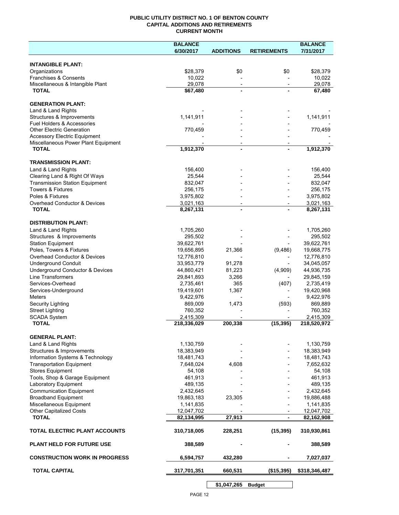#### **PUBLIC UTILITY DISTRICT NO. 1 OF BENTON COUNTY CAPITAL ADDITIONS AND RETIREMENTS CURRENT MONTH**

|                                                     | <b>BALANCE</b>           |                                            |                          | <b>BALANCE</b>           |
|-----------------------------------------------------|--------------------------|--------------------------------------------|--------------------------|--------------------------|
|                                                     | 6/30/2017                | <b>ADDITIONS</b>                           | <b>RETIREMENTS</b>       | 7/31/2017                |
| <b>INTANGIBLE PLANT:</b>                            |                          |                                            |                          |                          |
| Organizations                                       | \$28,379                 | \$0                                        | \$0                      | \$28,379                 |
| Franchises & Consents                               | 10,022                   |                                            |                          | 10,022                   |
| Miscellaneous & Intangible Plant                    | 29,078                   | $\overline{\phantom{a}}$                   | $\overline{\phantom{a}}$ | 29,078                   |
| <b>TOTAL</b>                                        | \$67,480                 | $\blacksquare$                             |                          | 67,480                   |
| <b>GENERATION PLANT:</b>                            |                          |                                            |                          |                          |
| Land & Land Rights                                  |                          |                                            |                          |                          |
| Structures & Improvements                           | 1,141,911                |                                            |                          | 1,141,911                |
| <b>Fuel Holders &amp; Accessories</b>               |                          |                                            |                          |                          |
| <b>Other Electric Generation</b>                    | 770,459                  |                                            |                          | 770,459                  |
| <b>Accessory Electric Equipment</b>                 |                          |                                            |                          |                          |
| Miscellaneous Power Plant Equipment<br><b>TOTAL</b> | 1,912,370                | $\overline{\phantom{a}}$<br>$\blacksquare$ |                          | 1,912,370                |
|                                                     |                          |                                            |                          |                          |
| <b>TRANSMISSION PLANT:</b>                          |                          |                                            |                          |                          |
| Land & Land Rights                                  | 156,400                  |                                            |                          | 156,400                  |
| Clearing Land & Right Of Ways                       | 25,544                   |                                            |                          | 25,544                   |
| <b>Transmission Station Equipment</b>               | 832,047                  |                                            |                          | 832,047                  |
| <b>Towers &amp; Fixtures</b>                        | 256,175                  |                                            |                          | 256,175                  |
| Poles & Fixtures                                    | 3,975,802                |                                            |                          | 3,975,802                |
| Overhead Conductor & Devices                        | 3,021,163                |                                            |                          | 3,021,163                |
| <b>TOTAL</b>                                        | 8,267,131                |                                            |                          | 8,267,131                |
| <b>DISTRIBUTION PLANT:</b>                          |                          |                                            |                          |                          |
| Land & Land Rights                                  | 1,705,260                |                                            |                          | 1,705,260                |
| Structures & Improvements                           | 295,502                  |                                            |                          | 295,502                  |
| <b>Station Equipment</b>                            | 39,622,761               |                                            |                          | 39,622,761               |
| Poles, Towers & Fixtures                            | 19,656,895               | 21,366                                     | (9,486)                  | 19,668,775               |
| Overhead Conductor & Devices                        | 12,776,810               |                                            |                          | 12,776,810               |
| <b>Underground Conduit</b>                          | 33,953,779               | 91,278                                     |                          | 34,045,057               |
| Underground Conductor & Devices                     | 44,860,421               | 81,223                                     | (4,909)                  | 44,936,735               |
| <b>Line Transformers</b>                            | 29,841,893               | 3,266                                      |                          | 29,845,159               |
| Services-Overhead                                   | 2,735,461                | 365                                        | (407)                    | 2,735,419                |
| Services-Underground                                | 19,419,601               | 1,367                                      |                          | 19,420,968               |
| Meters                                              | 9,422,976                |                                            |                          | 9,422,976                |
| Security Lighting                                   | 869,009                  | 1,473                                      | (593)                    | 869,889                  |
| <b>Street Lighting</b>                              | 760,352                  |                                            |                          | 760,352                  |
| <b>SCADA System</b><br><b>TOTAL</b>                 | 2,415,309<br>218,336,029 | 200,338                                    | (15, 395)                | 2,415,309<br>218,520,972 |
|                                                     |                          |                                            |                          |                          |
| <b>GENERAL PLANT:</b>                               |                          |                                            |                          |                          |
| Land & Land Rights                                  | 1,130,759                |                                            |                          | 1,130,759                |
| Structures & Improvements                           | 18,383,949               |                                            |                          | 18,383,949               |
| Information Systems & Technology                    | 18,481,743               |                                            |                          | 18,481,743               |
| <b>Transportation Equipment</b>                     | 7,648,024                | 4,608                                      |                          | 7,652,632                |
| <b>Stores Equipment</b>                             | 54,108                   |                                            |                          | 54,108                   |
| Tools, Shop & Garage Equipment                      | 461,913                  |                                            |                          | 461,913                  |
| Laboratory Equipment                                | 489,135                  |                                            |                          | 489,135                  |
| <b>Communication Equipment</b>                      | 2,432,645                |                                            |                          | 2,432,645                |
| <b>Broadband Equipment</b>                          | 19,863,183               | 23,305                                     |                          | 19,886,488               |
| Miscellaneous Equipment                             | 1,141,835                |                                            |                          | 1,141,835                |
| <b>Other Capitalized Costs</b><br><b>TOTAL</b>      | 12,047,702               | 27,913                                     |                          | 12,047,702               |
|                                                     | 82,134,995               |                                            | $\blacksquare$           | 82,162,908               |
| TOTAL ELECTRIC PLANT ACCOUNTS                       | 310,718,005              | 228,251                                    | (15, 395)                | 310,930,861              |
| <b>PLANT HELD FOR FUTURE USE</b>                    | 388,589                  |                                            |                          | 388,589                  |
| <b>CONSTRUCTION WORK IN PROGRESS</b>                | 6,594,757                | 432,280                                    |                          | 7,027,037                |
| <b>TOTAL CAPITAL</b>                                | 317,701,351              | 660,531                                    | (\$15,395)               | \$318,346,487            |
|                                                     |                          |                                            |                          |                          |

**\$1,047,265 Budget**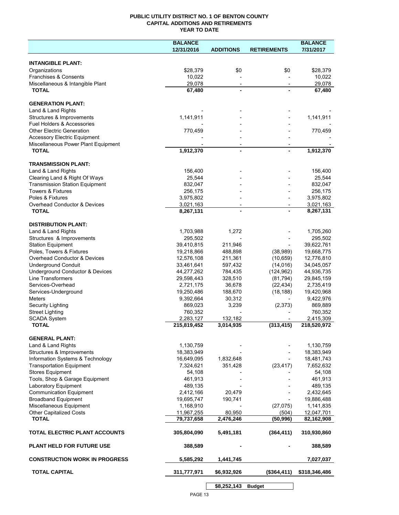#### **PUBLIC UTILITY DISTRICT NO. 1 OF BENTON COUNTY CAPITAL ADDITIONS AND RETIREMENTS YEAR TO DATE**

|                                                  | <b>BALANCE</b>   |                          |                          | <b>BALANCE</b>   |
|--------------------------------------------------|------------------|--------------------------|--------------------------|------------------|
|                                                  | 12/31/2016       | <b>ADDITIONS</b>         | <b>RETIREMENTS</b>       | 7/31/2017        |
|                                                  |                  |                          |                          |                  |
| <b>INTANGIBLE PLANT:</b>                         |                  |                          |                          |                  |
| Organizations                                    | \$28,379         | \$0                      | \$0                      | \$28,379         |
| Franchises & Consents                            | 10,022           |                          |                          | 10,022<br>29.078 |
| Miscellaneous & Intangible Plant<br><b>TOTAL</b> | 29,078<br>67,480 | $\overline{\phantom{a}}$ | $\overline{\phantom{a}}$ | 67,480           |
|                                                  |                  |                          |                          |                  |
| <b>GENERATION PLANT:</b>                         |                  |                          |                          |                  |
| Land & Land Rights                               |                  |                          |                          |                  |
| Structures & Improvements                        | 1,141,911        |                          |                          | 1,141,911        |
| Fuel Holders & Accessories                       |                  |                          |                          |                  |
| <b>Other Electric Generation</b>                 | 770,459          |                          |                          | 770,459          |
| <b>Accessory Electric Equipment</b>              |                  |                          |                          |                  |
| Miscellaneous Power Plant Equipment              |                  |                          |                          |                  |
| <b>TOTAL</b>                                     | 1,912,370        | $\overline{a}$           |                          | 1,912,370        |
|                                                  |                  |                          |                          |                  |
| <b>TRANSMISSION PLANT:</b>                       |                  |                          |                          |                  |
| Land & Land Rights                               | 156,400          |                          |                          | 156,400          |
| Clearing Land & Right Of Ways                    | 25,544           |                          |                          | 25,544           |
| <b>Transmission Station Equipment</b>            | 832,047          |                          |                          | 832,047          |
| <b>Towers &amp; Fixtures</b>                     | 256,175          |                          |                          | 256,175          |
| Poles & Fixtures                                 | 3,975,802        |                          |                          | 3,975,802        |
| <b>Overhead Conductor &amp; Devices</b>          | 3,021,163        | $\overline{\phantom{a}}$ |                          | 3,021,163        |
| <b>TOTAL</b>                                     | 8,267,131        |                          |                          | 8,267,131        |
| <b>DISTRIBUTION PLANT:</b>                       |                  |                          |                          |                  |
| Land & Land Rights                               | 1,703,988        | 1,272                    |                          | 1,705,260        |
| Structures & Improvements                        | 295,502          |                          |                          | 295,502          |
| <b>Station Equipment</b>                         | 39,410,815       | 211,946                  |                          | 39,622,761       |
| Poles, Towers & Fixtures                         | 19,218,866       | 488,898                  | (38,989)                 | 19,668,775       |
| Overhead Conductor & Devices                     | 12,576,108       | 211,361                  | (10, 659)                | 12,776,810       |
| <b>Underground Conduit</b>                       | 33,461,641       | 597,432                  | (14, 016)                | 34,045,057       |
| Underground Conductor & Devices                  | 44,277,262       | 784,435                  | (124, 962)               | 44,936,735       |
| Line Transformers                                | 29,598,443       | 328,510                  | (81, 794)                | 29,845,159       |
| Services-Overhead                                | 2,721,175        | 36,678                   | (22, 434)                | 2,735,419        |
| Services-Underground                             | 19,250,486       | 188,670                  | (18, 188)                | 19,420,968       |
| Meters                                           | 9,392,664        | 30,312                   |                          | 9,422,976        |
| <b>Security Lighting</b>                         | 869,023          | 3,239                    | (2,373)                  | 869,889          |
| <b>Street Lighting</b>                           | 760,352          |                          |                          | 760,352          |
| <b>SCADA System</b>                              | 2,283,127        | 132,182                  |                          | 2,415,309        |
| <b>TOTAL</b>                                     | 215,819,452      | 3,014,935                | (313, 415)               | 218,520,972      |
|                                                  |                  |                          |                          |                  |
| <b>GENERAL PLANT:</b>                            |                  |                          |                          |                  |
| Land & Land Rights                               | 1,130,759        |                          |                          | 1,130,759        |
| Structures & Improvements                        | 18,383,949       |                          |                          | 18,383,949       |
| Information Systems & Technology                 | 16,649,095       | 1,832,648                |                          | 18,481,743       |
| <b>Transportation Equipment</b>                  | 7,324,621        | 351,428                  | (23, 417)                | 7,652,632        |
| <b>Stores Equipment</b>                          | 54,108           |                          |                          | 54,108           |
| Tools, Shop & Garage Equipment                   | 461,913          |                          |                          | 461,913          |
| Laboratory Equipment                             | 489,135          |                          |                          | 489,135          |
| <b>Communication Equipment</b>                   | 2,412,166        | 20,479                   |                          | 2,432,645        |
| <b>Broadband Equipment</b>                       | 19,695,747       | 190,741                  |                          | 19,886,488       |
| Miscellaneous Equipment                          | 1,168,910        |                          | (27, 075)                | 1,141,835        |
| Other Capitalized Costs                          | 11,967,255       | 80,950                   | (504)                    | 12,047,701       |
| <b>TOTAL</b>                                     | 79,737,658       | 2,476,246                | (50, 996)                | 82,162,908       |
| TOTAL ELECTRIC PLANT ACCOUNTS                    | 305,804,090      | 5,491,181                | (364, 411)               | 310,930,860      |
| <b>PLANT HELD FOR FUTURE USE</b>                 | 388,589          |                          |                          | 388,589          |
| <b>CONSTRUCTION WORK IN PROGRESS</b>             | 5,585,292        | 1,441,745                |                          | 7,027,037        |
| <b>TOTAL CAPITAL</b>                             | 311,777,971      | \$6,932,926              | (\$364,411)              | \$318,346,486    |
|                                                  |                  | \$8,252,143              | <b>Budget</b>            |                  |
|                                                  |                  |                          |                          |                  |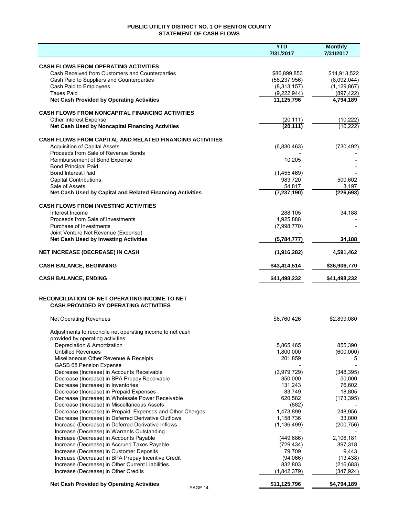#### **PUBLIC UTILITY DISTRICT NO. 1 OF BENTON COUNTY STATEMENT OF CASH FLOWS**

|                                                                                                        | <b>YTD</b>                     | <b>Monthly</b>              |
|--------------------------------------------------------------------------------------------------------|--------------------------------|-----------------------------|
|                                                                                                        | 7/31/2017                      | 7/31/2017                   |
|                                                                                                        |                                |                             |
| <b>CASH FLOWS FROM OPERATING ACTIVITIES</b>                                                            |                                |                             |
| Cash Received from Customers and Counterparties<br>Cash Paid to Suppliers and Counterparties           | \$86,899,853<br>(58, 237, 956) | \$14,913,522<br>(8,092,044) |
| Cash Paid to Employees                                                                                 | (8,313,157)                    | (1, 129, 867)               |
| <b>Taxes Paid</b>                                                                                      | (9,222,944)                    | (897, 422)                  |
| <b>Net Cash Provided by Operating Activities</b>                                                       | 11,125,796                     | 4,794,189                   |
|                                                                                                        |                                |                             |
| <b>CASH FLOWS FROM NONCAPITAL FINANCING ACTIVITIES</b>                                                 |                                |                             |
| Other Interest Expense                                                                                 | (20, 111)                      | (10, 222)                   |
| Net Cash Used by Noncapital Financing Activities                                                       | (20, 111)                      | (10, 222)                   |
|                                                                                                        |                                |                             |
| <b>CASH FLOWS FROM CAPITAL AND RELATED FINANCING ACTIVITIES</b>                                        |                                |                             |
| <b>Acquisition of Capital Assets</b>                                                                   | (6,830,463)                    | (730, 492)                  |
| Proceeds from Sale of Revenue Bonds                                                                    |                                |                             |
| Reimbursement of Bond Expense                                                                          | 10,205                         |                             |
| <b>Bond Principal Paid</b>                                                                             |                                |                             |
| <b>Bond Interest Paid</b>                                                                              | (1,455,469)                    |                             |
| <b>Capital Contributions</b>                                                                           | 983,720                        | 500,602                     |
| Sale of Assets<br>Net Cash Used by Capital and Related Financing Activities                            | 54,817<br>(7, 237, 190)        | 3,197<br>(226, 693)         |
|                                                                                                        |                                |                             |
| <b>CASH FLOWS FROM INVESTING ACTIVITIES</b>                                                            |                                |                             |
| Interest Income                                                                                        | 288,105                        | 34,188                      |
| Proceeds from Sale of Investments                                                                      | 1,925,888                      |                             |
| Purchase of Investments                                                                                | (7,998,770)                    |                             |
| Joint Venture Net Revenue (Expense)                                                                    |                                |                             |
| <b>Net Cash Used by Investing Activities</b>                                                           | (5, 784, 777)                  | 34,188                      |
|                                                                                                        |                                |                             |
| <b>NET INCREASE (DECREASE) IN CASH</b>                                                                 | (1,916,282)                    | 4,591,462                   |
| <b>CASH BALANCE, BEGINNING</b>                                                                         | \$43,414,514                   | \$36,906,770                |
| <b>CASH BALANCE, ENDING</b>                                                                            | \$41,498,232                   | \$41,498,232                |
|                                                                                                        |                                |                             |
| <b>RECONCILIATION OF NET OPERATING INCOME TO NET</b><br><b>CASH PROVIDED BY OPERATING ACTIVITIES</b>   |                                |                             |
| <b>Net Operating Revenues</b>                                                                          | \$6,760,426                    | \$2,899,080                 |
|                                                                                                        |                                |                             |
| Adjustments to reconcile net operating income to net cash                                              |                                |                             |
| provided by operating activities:                                                                      |                                |                             |
| Depreciation & Amortization                                                                            | 5,865,465                      | 855,390                     |
| <b>Unbilled Revenues</b>                                                                               | 1,800,000                      | (600, 000)                  |
| Misellaneous Other Revenue & Receipts                                                                  | 201,859                        | 5                           |
| <b>GASB 68 Pension Expense</b>                                                                         |                                |                             |
| Decrease (Increase) in Accounts Receivable                                                             | (3,979,729)                    | (348, 395)                  |
| Decrease (Increase) in BPA Prepay Receivable                                                           | 350,000                        | 50,000                      |
| Decrease (Increase) in Inventories                                                                     | 131,243                        | 76,602                      |
| Decrease (Increase) in Prepaid Expenses                                                                | 83,749                         | 18,805                      |
| Decrease (Increase) in Wholesale Power Receivable                                                      | 620,582                        | (173, 395)                  |
| Decrease (Increase) in Miscellaneous Assets                                                            | (882)                          |                             |
| Decrease (Increase) in Prepaid Expenses and Other Charges                                              | 1,473,899                      | 248,956                     |
| Decrease (Increase) in Deferred Derivative Outflows                                                    | 1,158,736                      | 33,000                      |
| Increase (Decrease) in Deferred Derivative Inflows                                                     | (1, 136, 499)                  | (200, 756)                  |
| Increase (Decrease) in Warrants Outstanding                                                            |                                |                             |
| Increase (Decrease) in Accounts Payable                                                                | (449, 686)                     | 2,106,181                   |
| Increase (Decrease) in Accrued Taxes Payable                                                           | (729, 434)                     | 397,318                     |
| Increase (Decrease) in Customer Deposits                                                               | 79,709                         | 9,443                       |
| Increase (Decrease) in BPA Prepay Incentive Credit<br>Increase (Decrease) in Other Current Liabilities | (94,066)<br>832,803            | (13, 438)                   |
| Increase (Decrease) in Other Credits                                                                   | (1,842,379)                    | (216, 683)<br>(347, 924)    |
|                                                                                                        |                                |                             |
| <b>Net Cash Provided by Operating Activities</b><br>PAGE 14                                            | \$11,125,796                   | \$4,794,189                 |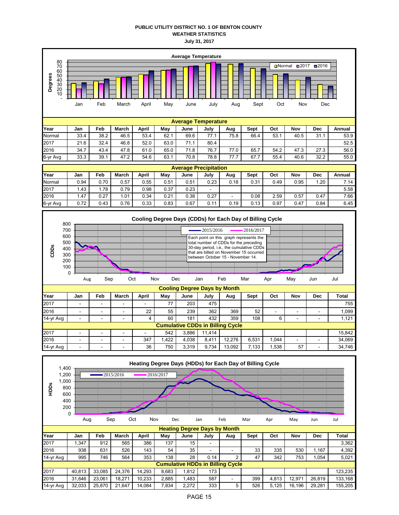#### **PUBLIC UTILITY DISTRICT NO. 1 OF BENTON COUNTY WEATHER STATISTICS July 31, 2017**



| Normal   | 0.94 | 0.70 | 0.57 | 0.55 | 0.51 | 0.51 | 0.23                     | 0.18                     | 0.31 | 0.49 | 0.95 | .20  | $^{\prime}$ .14 |
|----------|------|------|------|------|------|------|--------------------------|--------------------------|------|------|------|------|-----------------|
| 2017     | 1.43 | .78  | 0.79 | 0.98 | 0.37 | 0.23 | $\overline{\phantom{0}}$ |                          |      |      |      |      | 5.58            |
| 2016     | 1.47 | 0.27 | .01  | 0.34 | 0.21 | 0.38 | 0.27                     | $\overline{\phantom{a}}$ | 0.08 | 2.59 | 0.57 | 0.47 | 7.66            |
| 6-yr Avg | 0.72 | 0.43 | 0.76 | 0.33 | 0.83 | 0.67 | 0.11                     | 0.19                     | 0.13 | 0.97 | 0.47 | 0.84 | 6.45            |
|          |      |      |      |      |      |      |                          |                          |      |      |      |      |                 |
|          |      |      |      |      |      |      |                          |                          |      |      |      |      |                 |



| 14-yr Avg                               | $\overline{\phantom{a}}$ | $\overline{\phantom{0}}$ | $\overline{\phantom{a}}$ |     | 60   | 181   | 432    | 359    | 108   |      | $-$                      | - | .121   |
|-----------------------------------------|--------------------------|--------------------------|--------------------------|-----|------|-------|--------|--------|-------|------|--------------------------|---|--------|
| <b>Cumulative CDDs in Billing Cycle</b> |                          |                          |                          |     |      |       |        |        |       |      |                          |   |        |
| 2017                                    | -                        | $\overline{\phantom{0}}$ | $\overline{\phantom{a}}$ |     | 542  | 3.886 | 11.414 |        |       |      |                          |   | 15.842 |
| 2016                                    | -                        | -                        | -                        | 347 | .422 | 4.038 | 8.411  | 12.276 | 6.531 | ,044 | $\overline{\phantom{a}}$ |   | 34.069 |
| 14-yr Avg                               |                          | -                        | -                        | 36  | 750  | 3.319 | 9.734  | 13.092 | 133   | .538 | 57                       |   | 34,746 |

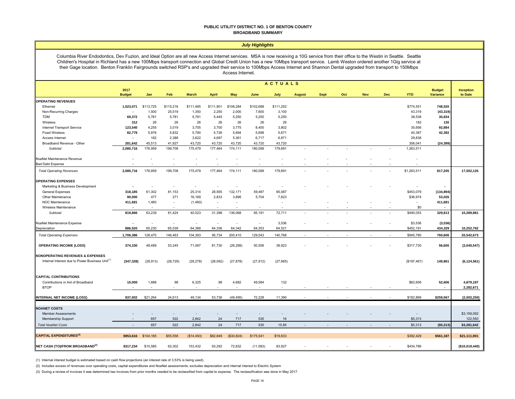#### **PUBLIC UTILITY DISTRICT NO. 1 OF BENTON COUNTY BROADBAND SUMMARY**

| July Highlights                                                                                                                                                                                                                                                                                                                                                                                                                                                                                                                                        |                          |           |            |              |                    |                  |           |                        |               |             |     |            |            |             |                                  |                             |
|--------------------------------------------------------------------------------------------------------------------------------------------------------------------------------------------------------------------------------------------------------------------------------------------------------------------------------------------------------------------------------------------------------------------------------------------------------------------------------------------------------------------------------------------------------|--------------------------|-----------|------------|--------------|--------------------|------------------|-----------|------------------------|---------------|-------------|-----|------------|------------|-------------|----------------------------------|-----------------------------|
| Columbia River Endodontics, Dev Fuzion, and Ideal Option are all new Access Internet services. MSA is now receiving a 10G service from their office to the Westin in Seattle. Seattle<br>Children's Hospital in Richland has a new 100Mbps transport connection and Global Credit Union has a new 10Mbps transport service. Lamb Weston ordered another 1Gig service at<br>their Gage location. Benton Franklin Fairgrounds switched RSP's and upgraded their service to 100Mbps Access Internet and Shannon Dental upgraded from transport to 150Mbps |                          |           |            |              |                    | Access Internet. |           |                        |               |             |     |            |            |             |                                  |                             |
|                                                                                                                                                                                                                                                                                                                                                                                                                                                                                                                                                        |                          |           |            |              |                    |                  |           |                        |               |             |     |            |            |             |                                  |                             |
|                                                                                                                                                                                                                                                                                                                                                                                                                                                                                                                                                        | 2017<br><b>Budget</b>    | Jan       | <b>Feb</b> | <b>March</b> | <b>April</b>       | May              | June      | <b>ACTUALS</b><br>July |               | <b>Sept</b> | Oct | <b>Nov</b> | <b>Dec</b> | <b>YTD</b>  | <b>Budget</b><br><b>Variance</b> | <b>Inception</b><br>to Date |
|                                                                                                                                                                                                                                                                                                                                                                                                                                                                                                                                                        |                          |           |            |              |                    |                  |           |                        | <b>August</b> |             |     |            |            |             |                                  |                             |
| <b>OPERATING REVENUES</b><br>Ethernet                                                                                                                                                                                                                                                                                                                                                                                                                                                                                                                  |                          | \$113,725 | \$115,216  | \$111,485    |                    | \$108,284        | \$102,688 | \$111,252              |               |             |     |            |            | \$774,551   | 748,520                          |                             |
| Non-Recurring Charges                                                                                                                                                                                                                                                                                                                                                                                                                                                                                                                                  | 1,523,071                | 1,500     | 25,519     | 1,350        | \$111,901<br>2,250 | 2,000            | 7,600     | 3,100                  |               |             |     |            |            | 43,319      | (43, 319)                        |                             |
| <b>TDM</b>                                                                                                                                                                                                                                                                                                                                                                                                                                                                                                                                             | 69,372                   | 5,781     | 5,781      | 5,781        | 5,445              | 5,250            | 5,250     | 5,250                  |               |             |     |            |            | 38,538      | 30,834                           |                             |
| Wireless                                                                                                                                                                                                                                                                                                                                                                                                                                                                                                                                               | 312                      | 26        | 26         | 26           | 26                 | 26               | 26        | 26                     |               |             |     |            |            | 182         | 130                              |                             |
| <b>Internet Transport Service</b>                                                                                                                                                                                                                                                                                                                                                                                                                                                                                                                      | 123,540                  | 4,255     | 3,019      | 3,705        | 3,700              | 3,775            | 8,400     | 3,802                  |               |             |     |            |            | 30,656      | 92,884                           |                             |
| <b>Fixed Wireless</b>                                                                                                                                                                                                                                                                                                                                                                                                                                                                                                                                  | 82,779                   | 5,976     | 5,832      | 5,790        | 5,726              | 5,694            | 5,698     | 5,671                  |               |             |     |            |            | 40,387      | 42,392                           |                             |
| Access Internet                                                                                                                                                                                                                                                                                                                                                                                                                                                                                                                                        |                          | 182       | 2,388      | 3,622        | 4,697              | 5,361            | 6,717     | 6,871                  |               |             |     |            |            | 29,838      |                                  |                             |
| Broadband Revenue - Other                                                                                                                                                                                                                                                                                                                                                                                                                                                                                                                              | 281,642                  | 45,513    | 41,927     | 43,720       | 43,720             | 43,720           | 43,720    | 43,720                 |               |             |     |            |            | 306,041     | (24, 399)                        |                             |
| Subtotal                                                                                                                                                                                                                                                                                                                                                                                                                                                                                                                                               | 2,080,716                | 176,959   | 199,708    | 175,479      | 177,464            | 174,111          | 180,099   | 179,691                |               |             |     |            |            | 1,263,511   |                                  |                             |
| NoaNet Maintenance Revenue                                                                                                                                                                                                                                                                                                                                                                                                                                                                                                                             |                          |           |            |              |                    |                  |           |                        |               |             |     |            |            |             |                                  |                             |
| <b>Bad Debt Expense</b>                                                                                                                                                                                                                                                                                                                                                                                                                                                                                                                                |                          |           |            |              |                    |                  |           |                        |               |             |     |            |            |             |                                  |                             |
| <b>Total Operating Revenues</b>                                                                                                                                                                                                                                                                                                                                                                                                                                                                                                                        | 2,080,716                | 176,959   | 199,708    | 175,479      | 177,464            | 174,111          | 180,099   | 179,691                |               |             |     |            |            | \$1,263,511 | 817,205                          | 17,502,126                  |
| <b>OPERATING EXPENSES</b>                                                                                                                                                                                                                                                                                                                                                                                                                                                                                                                              |                          |           |            |              |                    |                  |           |                        |               |             |     |            |            |             |                                  |                             |
| Marketing & Business Development                                                                                                                                                                                                                                                                                                                                                                                                                                                                                                                       |                          |           |            |              |                    |                  |           |                        |               |             |     |            |            |             |                                  |                             |
| <b>General Expenses</b>                                                                                                                                                                                                                                                                                                                                                                                                                                                                                                                                | 318,185                  | 61,302    | 81,153     | 25,314       | 28,565             | 132,171          | 59,487    | 65,087                 |               |             |     |            |            | \$453,079   | (134, 894)                       |                             |
| Other Maintenance                                                                                                                                                                                                                                                                                                                                                                                                                                                                                                                                      | 90,000                   | 477       | 271        | 16,169       | 2,833              | 3,896            | 5,704     | 7,623                  |               |             |     |            |            | \$36,974    | 53,026                           |                             |
| NOC Maintenance                                                                                                                                                                                                                                                                                                                                                                                                                                                                                                                                        | 411,681                  | 1,460     | $\sim$     | (1,460)      | $\sim$             | ÷.               |           | $\sim$                 |               |             |     |            |            |             | 411,681                          |                             |
| Wireless Maintenance                                                                                                                                                                                                                                                                                                                                                                                                                                                                                                                                   |                          |           |            |              |                    |                  |           |                        |               |             |     |            |            | \$0         |                                  |                             |
| Subtotal                                                                                                                                                                                                                                                                                                                                                                                                                                                                                                                                               | 819,866                  | 63,239    | 81,424     | 40,023       | 31,398             | 136,068          | 65,191    | 72,711                 |               |             |     |            |            | \$490,053   | 329,813                          | 10,289,881                  |
| NoaNet Maintenance Expense                                                                                                                                                                                                                                                                                                                                                                                                                                                                                                                             |                          |           |            |              |                    |                  |           | 3,536                  |               |             |     |            |            | \$3,536     | (3, 536)                         |                             |
| Depreciation                                                                                                                                                                                                                                                                                                                                                                                                                                                                                                                                           | 886,520                  | 65,230    | 65,039     | 64,369       | 64,336             | 64,342           | 64,353    | 64,521                 |               |             |     |            |            | \$452,191   | 434,329                          | 10,252,792                  |
| <b>Total Operating Expenses</b>                                                                                                                                                                                                                                                                                                                                                                                                                                                                                                                        | 1,706,386                | 128,470   | 146,463    | 104,393      | 95,734             | 200,410          | 129,543   | 140,768                |               |             |     | ÷.         | $\sim$     | \$945,780   | 760,606                          | 20,542,673                  |
| <b>OPERATING INCOME (LOSS)</b>                                                                                                                                                                                                                                                                                                                                                                                                                                                                                                                         | 374,330                  | 48,489    | 53,245     | 71,087       | 81,730             | (26, 299)        | 50,556    | 38,923                 |               |             |     |            |            | \$317,730   | 56,600                           | (3,040,547)                 |
| <b>NONOPERATING REVENUES &amp; EXPENSES</b><br>Internal Interest due to Power Business Unit <sup>(1)</sup>                                                                                                                                                                                                                                                                                                                                                                                                                                             | (347, 328)               | (28, 913) | (28, 729)  | (28, 278)    | (28,092)           | (27, 878)        | (27, 912) | (27,665)               |               |             |     |            |            | (\$197,467) | 149,861                          | (6, 124, 561)               |
| <b>CAPITAL CONTRIBUTIONS</b><br>Contributions in Aid of Broadband<br><b>BTOP</b>                                                                                                                                                                                                                                                                                                                                                                                                                                                                       | 10,000                   | 1,688     | 98         | 6,325        | 98                 | 4,682            | 49,584    | 132                    |               |             |     |            |            | \$62,606    | 52,606<br>$\sim$                 | 4,879,187<br>2,282,671      |
| <b>INTERNAL NET INCOME (LOSS)</b>                                                                                                                                                                                                                                                                                                                                                                                                                                                                                                                      | \$37,002                 | \$21,264  | 24,613     | 49,134       | 53,736             | (49.495)         | 72,228    | 11,390                 |               |             |     |            |            | \$182,869   | \$259,067                        | (2,003,250)                 |
|                                                                                                                                                                                                                                                                                                                                                                                                                                                                                                                                                        |                          |           |            |              |                    |                  |           |                        |               |             |     |            |            |             |                                  |                             |
| <b>NOANET COSTS</b><br><b>Member Assessments</b><br>Membership Support                                                                                                                                                                                                                                                                                                                                                                                                                                                                                 |                          | 657       | 522        | 2,842        | 24                 | 717              | 535       | 16                     |               |             |     |            |            | \$5,313     |                                  | \$3,159,092<br>122,550      |
| <b>Total NoaNet Costs</b>                                                                                                                                                                                                                                                                                                                                                                                                                                                                                                                              | $\overline{\phantom{a}}$ | 657       | 522        | 2,842        | 24                 | 717              | 535       | 15.85                  |               |             |     | $\sim$     |            | \$5,313     | (\$5,313)                        | \$3,281,642                 |
|                                                                                                                                                                                                                                                                                                                                                                                                                                                                                                                                                        |                          |           |            |              |                    |                  |           |                        |               |             |     |            |            |             |                                  |                             |
| <b>CAPITAL EXPENDITURES(3)</b>                                                                                                                                                                                                                                                                                                                                                                                                                                                                                                                         | \$953,616                | \$104,165 | \$55,558   | (S14, 493)   | \$82,849           | (\$30,824)       | \$175,541 | \$19,633               |               |             |     |            |            | \$392,429   | \$561,187                        | \$21,111,901                |
| NET CASH (TO)/FROM BROADBAND <sup>(2)</sup>                                                                                                                                                                                                                                                                                                                                                                                                                                                                                                            | \$317.234                | \$10,585  | 62.302     | 153.432      | 63.292             | 72.832           | (11, 583) | 83.927                 |               |             |     |            |            | \$434,786   |                                  | (\$10,019,440)              |

(1) Internal interest budget is estimated based on cash flow projections (an interest rate of 3.53% is being used).

(2) Includes excess of revenues over operating costs, capital expenditures and NoaNet assessments; excludes depreciation and internal interest to Electric System

(3) During a review of invoices it was determined two invoices from prior months needed to be reclassified from capital to expense. The reclassification was done in May 2017.